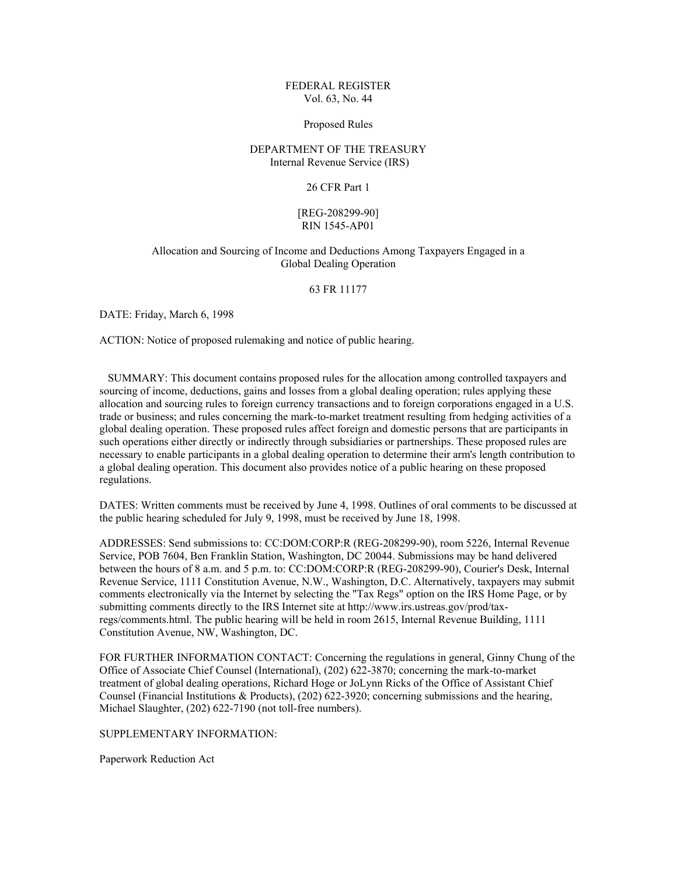# FEDERAL REGISTER Vol. 63, No. 44

### Proposed Rules

# DEPARTMENT OF THE TREASURY Internal Revenue Service (IRS)

## 26 CFR Part 1

# [REG-208299-90] RIN 1545-AP01

# Allocation and Sourcing of Income and Deductions Among Taxpayers Engaged in a Global Dealing Operation

# 63 FR 11177

DATE: Friday, March 6, 1998

ACTION: Notice of proposed rulemaking and notice of public hearing.

 SUMMARY: This document contains proposed rules for the allocation among controlled taxpayers and sourcing of income, deductions, gains and losses from a global dealing operation; rules applying these allocation and sourcing rules to foreign currency transactions and to foreign corporations engaged in a U.S. trade or business; and rules concerning the mark-to-market treatment resulting from hedging activities of a global dealing operation. These proposed rules affect foreign and domestic persons that are participants in such operations either directly or indirectly through subsidiaries or partnerships. These proposed rules are necessary to enable participants in a global dealing operation to determine their arm's length contribution to a global dealing operation. This document also provides notice of a public hearing on these proposed regulations.

DATES: Written comments must be received by June 4, 1998. Outlines of oral comments to be discussed at the public hearing scheduled for July 9, 1998, must be received by June 18, 1998.

ADDRESSES: Send submissions to: CC:DOM:CORP:R (REG-208299-90), room 5226, Internal Revenue Service, POB 7604, Ben Franklin Station, Washington, DC 20044. Submissions may be hand delivered between the hours of 8 a.m. and 5 p.m. to: CC:DOM:CORP:R (REG-208299-90), Courier's Desk, Internal Revenue Service, 1111 Constitution Avenue, N.W., Washington, D.C. Alternatively, taxpayers may submit comments electronically via the Internet by selecting the "Tax Regs" option on the IRS Home Page, or by submitting comments directly to the IRS Internet site at http://www.irs.ustreas.gov/prod/taxregs/comments.html. The public hearing will be held in room 2615, Internal Revenue Building, 1111 Constitution Avenue, NW, Washington, DC.

FOR FURTHER INFORMATION CONTACT: Concerning the regulations in general, Ginny Chung of the Office of Associate Chief Counsel (International), (202) 622-3870; concerning the mark-to-market treatment of global dealing operations, Richard Hoge or JoLynn Ricks of the Office of Assistant Chief Counsel (Financial Institutions & Products), (202) 622-3920; concerning submissions and the hearing, Michael Slaughter, (202) 622-7190 (not toll-free numbers).

SUPPLEMENTARY INFORMATION:

Paperwork Reduction Act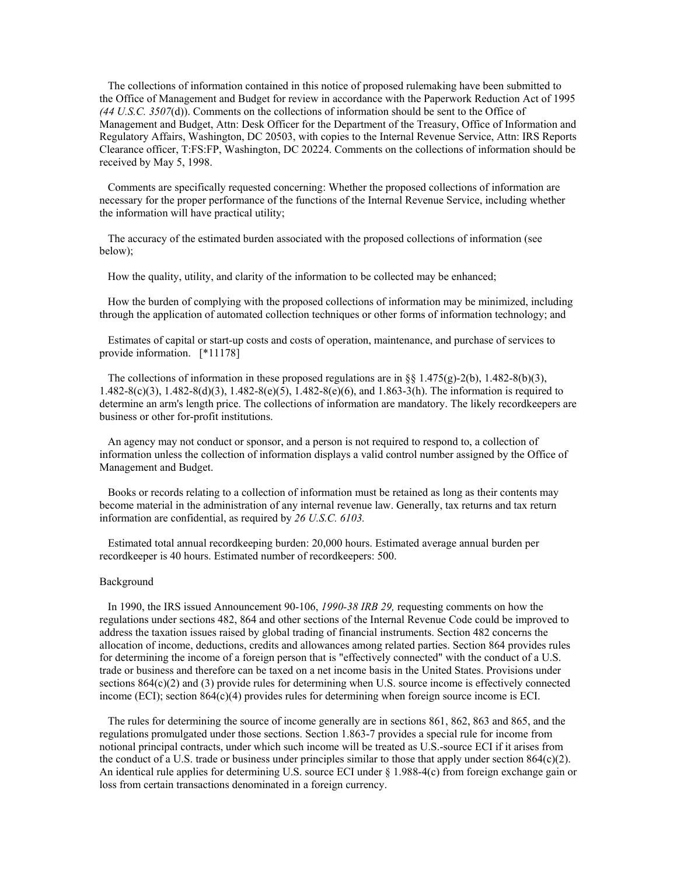The collections of information contained in this notice of proposed rulemaking have been submitted to the Office of Management and Budget for review in accordance with the Paperwork Reduction Act of 1995 *(44 U.S.C. 3507*(d)). Comments on the collections of information should be sent to the Office of Management and Budget, Attn: Desk Officer for the Department of the Treasury, Office of Information and Regulatory Affairs, Washington, DC 20503, with copies to the Internal Revenue Service, Attn: IRS Reports Clearance officer, T:FS:FP, Washington, DC 20224. Comments on the collections of information should be received by May 5, 1998.

 Comments are specifically requested concerning: Whether the proposed collections of information are necessary for the proper performance of the functions of the Internal Revenue Service, including whether the information will have practical utility;

 The accuracy of the estimated burden associated with the proposed collections of information (see below);

How the quality, utility, and clarity of the information to be collected may be enhanced;

 How the burden of complying with the proposed collections of information may be minimized, including through the application of automated collection techniques or other forms of information technology; and

 Estimates of capital or start-up costs and costs of operation, maintenance, and purchase of services to provide information. [\*11178]

The collections of information in these proposed regulations are in §§ 1.475(g)-2(b), 1.482-8(b)(3), 1.482-8(c)(3), 1.482-8(d)(3), 1.482-8(e)(5), 1.482-8(e)(6), and 1.863-3(h). The information is required to determine an arm's length price. The collections of information are mandatory. The likely recordkeepers are business or other for-profit institutions.

 An agency may not conduct or sponsor, and a person is not required to respond to, a collection of information unless the collection of information displays a valid control number assigned by the Office of Management and Budget.

 Books or records relating to a collection of information must be retained as long as their contents may become material in the administration of any internal revenue law. Generally, tax returns and tax return information are confidential, as required by *26 U.S.C. 6103.*

 Estimated total annual recordkeeping burden: 20,000 hours. Estimated average annual burden per recordkeeper is 40 hours. Estimated number of recordkeepers: 500.

### Background

 In 1990, the IRS issued Announcement 90-106, *1990-38 IRB 29,* requesting comments on how the regulations under sections 482, 864 and other sections of the Internal Revenue Code could be improved to address the taxation issues raised by global trading of financial instruments. Section 482 concerns the allocation of income, deductions, credits and allowances among related parties. Section 864 provides rules for determining the income of a foreign person that is "effectively connected" with the conduct of a U.S. trade or business and therefore can be taxed on a net income basis in the United States. Provisions under sections  $864(c)(2)$  and (3) provide rules for determining when U.S. source income is effectively connected income (ECI); section 864(c)(4) provides rules for determining when foreign source income is ECI.

 The rules for determining the source of income generally are in sections 861, 862, 863 and 865, and the regulations promulgated under those sections. Section 1.863-7 provides a special rule for income from notional principal contracts, under which such income will be treated as U.S.-source ECI if it arises from the conduct of a U.S. trade or business under principles similar to those that apply under section 864(c)(2). An identical rule applies for determining U.S. source ECI under § 1.988-4(c) from foreign exchange gain or loss from certain transactions denominated in a foreign currency.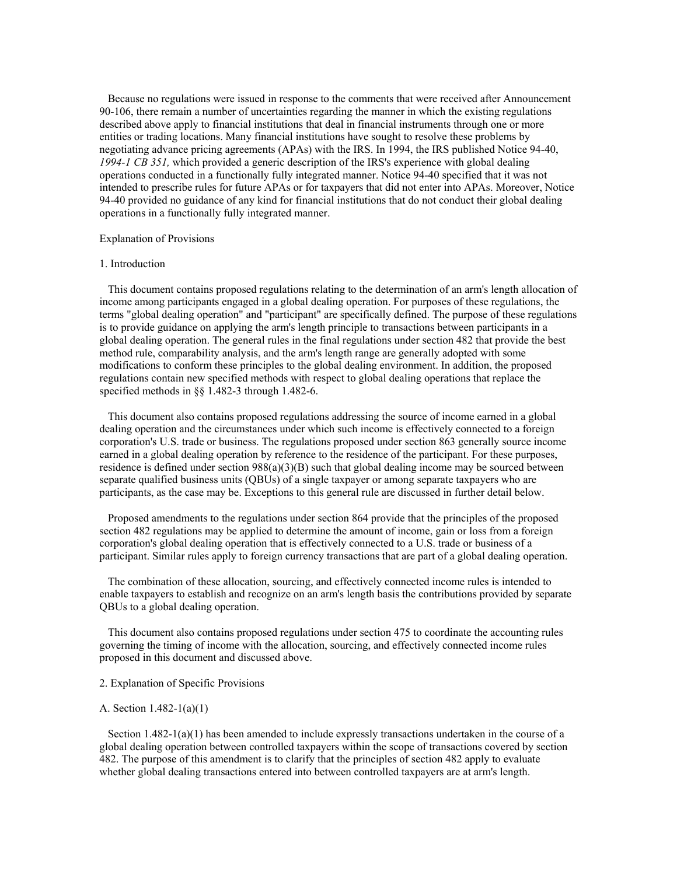Because no regulations were issued in response to the comments that were received after Announcement 90-106, there remain a number of uncertainties regarding the manner in which the existing regulations described above apply to financial institutions that deal in financial instruments through one or more entities or trading locations. Many financial institutions have sought to resolve these problems by negotiating advance pricing agreements (APAs) with the IRS. In 1994, the IRS published Notice 94-40, *1994-1 CB 351,* which provided a generic description of the IRS's experience with global dealing operations conducted in a functionally fully integrated manner. Notice 94-40 specified that it was not intended to prescribe rules for future APAs or for taxpayers that did not enter into APAs. Moreover, Notice 94-40 provided no guidance of any kind for financial institutions that do not conduct their global dealing operations in a functionally fully integrated manner.

### Explanation of Provisions

### 1. Introduction

 This document contains proposed regulations relating to the determination of an arm's length allocation of income among participants engaged in a global dealing operation. For purposes of these regulations, the terms "global dealing operation" and "participant" are specifically defined. The purpose of these regulations is to provide guidance on applying the arm's length principle to transactions between participants in a global dealing operation. The general rules in the final regulations under section 482 that provide the best method rule, comparability analysis, and the arm's length range are generally adopted with some modifications to conform these principles to the global dealing environment. In addition, the proposed regulations contain new specified methods with respect to global dealing operations that replace the specified methods in §§ 1.482-3 through 1.482-6.

 This document also contains proposed regulations addressing the source of income earned in a global dealing operation and the circumstances under which such income is effectively connected to a foreign corporation's U.S. trade or business. The regulations proposed under section 863 generally source income earned in a global dealing operation by reference to the residence of the participant. For these purposes, residence is defined under section  $988(a)(3)(B)$  such that global dealing income may be sourced between separate qualified business units (QBUs) of a single taxpayer or among separate taxpayers who are participants, as the case may be. Exceptions to this general rule are discussed in further detail below.

 Proposed amendments to the regulations under section 864 provide that the principles of the proposed section 482 regulations may be applied to determine the amount of income, gain or loss from a foreign corporation's global dealing operation that is effectively connected to a U.S. trade or business of a participant. Similar rules apply to foreign currency transactions that are part of a global dealing operation.

 The combination of these allocation, sourcing, and effectively connected income rules is intended to enable taxpayers to establish and recognize on an arm's length basis the contributions provided by separate QBUs to a global dealing operation.

 This document also contains proposed regulations under section 475 to coordinate the accounting rules governing the timing of income with the allocation, sourcing, and effectively connected income rules proposed in this document and discussed above.

# 2. Explanation of Specific Provisions

### A. Section 1.482-1(a)(1)

Section  $1.482-1(a)(1)$  has been amended to include expressly transactions undertaken in the course of a global dealing operation between controlled taxpayers within the scope of transactions covered by section 482. The purpose of this amendment is to clarify that the principles of section 482 apply to evaluate whether global dealing transactions entered into between controlled taxpayers are at arm's length.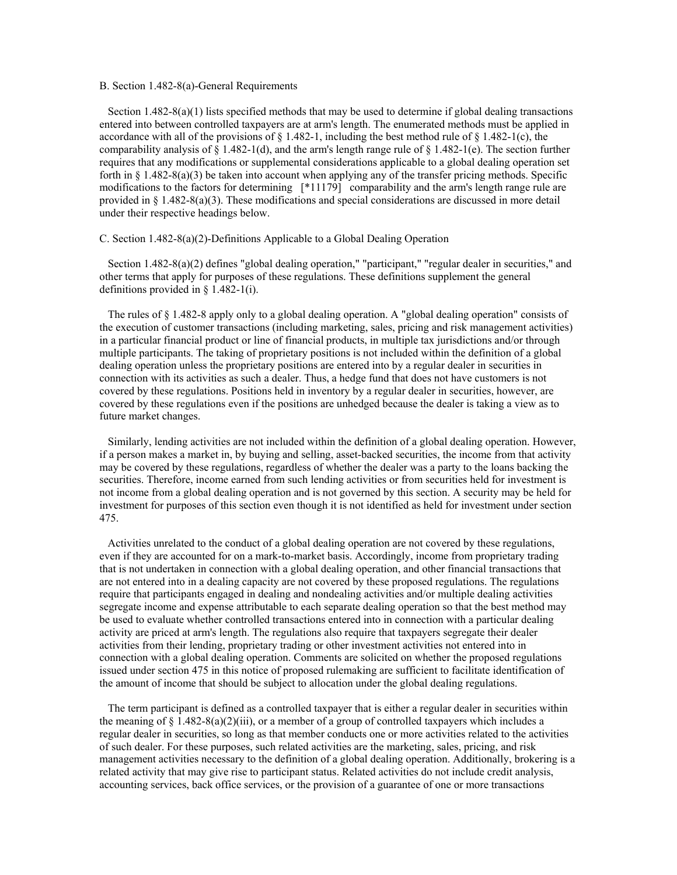### B. Section 1.482-8(a)-General Requirements

Section  $1.482 - 8(a)(1)$  lists specified methods that may be used to determine if global dealing transactions entered into between controlled taxpayers are at arm's length. The enumerated methods must be applied in accordance with all of the provisions of  $\S$  1.482-1, including the best method rule of  $\S$  1.482-1(c), the comparability analysis of  $\S 1.482-1(d)$ , and the arm's length range rule of  $\S 1.482-1(e)$ . The section further requires that any modifications or supplemental considerations applicable to a global dealing operation set forth in § 1.482-8(a)(3) be taken into account when applying any of the transfer pricing methods. Specific modifications to the factors for determining [\*11179] comparability and the arm's length range rule are provided in § 1.482-8(a)(3). These modifications and special considerations are discussed in more detail under their respective headings below.

## C. Section 1.482-8(a)(2)-Definitions Applicable to a Global Dealing Operation

Section 1.482-8(a)(2) defines "global dealing operation," "participant," "regular dealer in securities," and other terms that apply for purposes of these regulations. These definitions supplement the general definitions provided in § 1.482-1(i).

 The rules of § 1.482-8 apply only to a global dealing operation. A "global dealing operation" consists of the execution of customer transactions (including marketing, sales, pricing and risk management activities) in a particular financial product or line of financial products, in multiple tax jurisdictions and/or through multiple participants. The taking of proprietary positions is not included within the definition of a global dealing operation unless the proprietary positions are entered into by a regular dealer in securities in connection with its activities as such a dealer. Thus, a hedge fund that does not have customers is not covered by these regulations. Positions held in inventory by a regular dealer in securities, however, are covered by these regulations even if the positions are unhedged because the dealer is taking a view as to future market changes.

 Similarly, lending activities are not included within the definition of a global dealing operation. However, if a person makes a market in, by buying and selling, asset-backed securities, the income from that activity may be covered by these regulations, regardless of whether the dealer was a party to the loans backing the securities. Therefore, income earned from such lending activities or from securities held for investment is not income from a global dealing operation and is not governed by this section. A security may be held for investment for purposes of this section even though it is not identified as held for investment under section 475.

 Activities unrelated to the conduct of a global dealing operation are not covered by these regulations, even if they are accounted for on a mark-to-market basis. Accordingly, income from proprietary trading that is not undertaken in connection with a global dealing operation, and other financial transactions that are not entered into in a dealing capacity are not covered by these proposed regulations. The regulations require that participants engaged in dealing and nondealing activities and/or multiple dealing activities segregate income and expense attributable to each separate dealing operation so that the best method may be used to evaluate whether controlled transactions entered into in connection with a particular dealing activity are priced at arm's length. The regulations also require that taxpayers segregate their dealer activities from their lending, proprietary trading or other investment activities not entered into in connection with a global dealing operation. Comments are solicited on whether the proposed regulations issued under section 475 in this notice of proposed rulemaking are sufficient to facilitate identification of the amount of income that should be subject to allocation under the global dealing regulations.

 The term participant is defined as a controlled taxpayer that is either a regular dealer in securities within the meaning of  $\S 1.482-8(a)(2)(iii)$ , or a member of a group of controlled taxpayers which includes a regular dealer in securities, so long as that member conducts one or more activities related to the activities of such dealer. For these purposes, such related activities are the marketing, sales, pricing, and risk management activities necessary to the definition of a global dealing operation. Additionally, brokering is a related activity that may give rise to participant status. Related activities do not include credit analysis, accounting services, back office services, or the provision of a guarantee of one or more transactions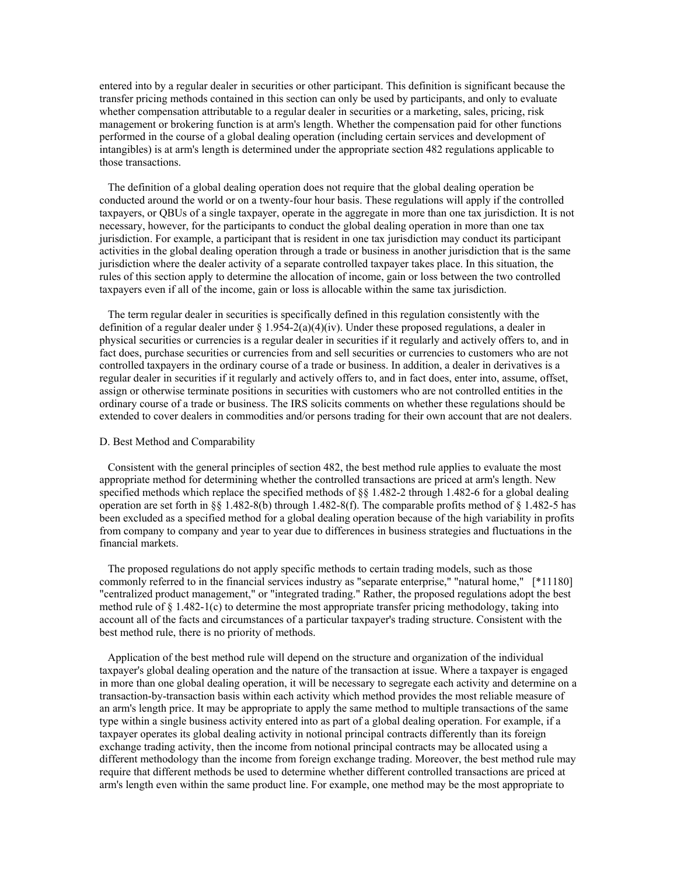entered into by a regular dealer in securities or other participant. This definition is significant because the transfer pricing methods contained in this section can only be used by participants, and only to evaluate whether compensation attributable to a regular dealer in securities or a marketing, sales, pricing, risk management or brokering function is at arm's length. Whether the compensation paid for other functions performed in the course of a global dealing operation (including certain services and development of intangibles) is at arm's length is determined under the appropriate section 482 regulations applicable to those transactions.

 The definition of a global dealing operation does not require that the global dealing operation be conducted around the world or on a twenty-four hour basis. These regulations will apply if the controlled taxpayers, or QBUs of a single taxpayer, operate in the aggregate in more than one tax jurisdiction. It is not necessary, however, for the participants to conduct the global dealing operation in more than one tax jurisdiction. For example, a participant that is resident in one tax jurisdiction may conduct its participant activities in the global dealing operation through a trade or business in another jurisdiction that is the same jurisdiction where the dealer activity of a separate controlled taxpayer takes place. In this situation, the rules of this section apply to determine the allocation of income, gain or loss between the two controlled taxpayers even if all of the income, gain or loss is allocable within the same tax jurisdiction.

 The term regular dealer in securities is specifically defined in this regulation consistently with the definition of a regular dealer under  $\S 1.954-2(a)(4)(iv)$ . Under these proposed regulations, a dealer in physical securities or currencies is a regular dealer in securities if it regularly and actively offers to, and in fact does, purchase securities or currencies from and sell securities or currencies to customers who are not controlled taxpayers in the ordinary course of a trade or business. In addition, a dealer in derivatives is a regular dealer in securities if it regularly and actively offers to, and in fact does, enter into, assume, offset, assign or otherwise terminate positions in securities with customers who are not controlled entities in the ordinary course of a trade or business. The IRS solicits comments on whether these regulations should be extended to cover dealers in commodities and/or persons trading for their own account that are not dealers.

## D. Best Method and Comparability

 Consistent with the general principles of section 482, the best method rule applies to evaluate the most appropriate method for determining whether the controlled transactions are priced at arm's length. New specified methods which replace the specified methods of  $\S$ § 1.482-2 through 1.482-6 for a global dealing operation are set forth in §§ 1.482-8(b) through 1.482-8(f). The comparable profits method of § 1.482-5 has been excluded as a specified method for a global dealing operation because of the high variability in profits from company to company and year to year due to differences in business strategies and fluctuations in the financial markets.

 The proposed regulations do not apply specific methods to certain trading models, such as those commonly referred to in the financial services industry as "separate enterprise," "natural home," [\*11180] "centralized product management," or "integrated trading." Rather, the proposed regulations adopt the best method rule of  $\S 1.482-1(c)$  to determine the most appropriate transfer pricing methodology, taking into account all of the facts and circumstances of a particular taxpayer's trading structure. Consistent with the best method rule, there is no priority of methods.

 Application of the best method rule will depend on the structure and organization of the individual taxpayer's global dealing operation and the nature of the transaction at issue. Where a taxpayer is engaged in more than one global dealing operation, it will be necessary to segregate each activity and determine on a transaction-by-transaction basis within each activity which method provides the most reliable measure of an arm's length price. It may be appropriate to apply the same method to multiple transactions of the same type within a single business activity entered into as part of a global dealing operation. For example, if a taxpayer operates its global dealing activity in notional principal contracts differently than its foreign exchange trading activity, then the income from notional principal contracts may be allocated using a different methodology than the income from foreign exchange trading. Moreover, the best method rule may require that different methods be used to determine whether different controlled transactions are priced at arm's length even within the same product line. For example, one method may be the most appropriate to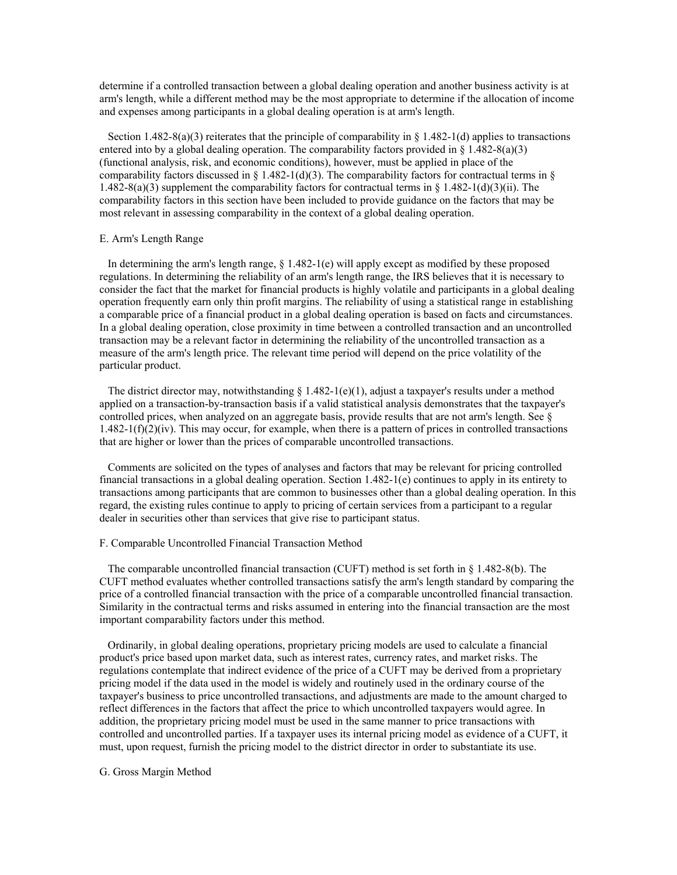determine if a controlled transaction between a global dealing operation and another business activity is at arm's length, while a different method may be the most appropriate to determine if the allocation of income and expenses among participants in a global dealing operation is at arm's length.

Section 1.482-8(a)(3) reiterates that the principle of comparability in  $\S$  1.482-1(d) applies to transactions entered into by a global dealing operation. The comparability factors provided in  $\S 1.482-8(a)(3)$ (functional analysis, risk, and economic conditions), however, must be applied in place of the comparability factors discussed in § 1.482-1(d)(3). The comparability factors for contractual terms in § 1.482-8(a)(3) supplement the comparability factors for contractual terms in § 1.482-1(d)(3)(ii). The comparability factors in this section have been included to provide guidance on the factors that may be most relevant in assessing comparability in the context of a global dealing operation.

## E. Arm's Length Range

In determining the arm's length range, § 1.482-1(e) will apply except as modified by these proposed regulations. In determining the reliability of an arm's length range, the IRS believes that it is necessary to consider the fact that the market for financial products is highly volatile and participants in a global dealing operation frequently earn only thin profit margins. The reliability of using a statistical range in establishing a comparable price of a financial product in a global dealing operation is based on facts and circumstances. In a global dealing operation, close proximity in time between a controlled transaction and an uncontrolled transaction may be a relevant factor in determining the reliability of the uncontrolled transaction as a measure of the arm's length price. The relevant time period will depend on the price volatility of the particular product.

The district director may, notwithstanding  $\S$  1.482-1(e)(1), adjust a taxpayer's results under a method applied on a transaction-by-transaction basis if a valid statistical analysis demonstrates that the taxpayer's controlled prices, when analyzed on an aggregate basis, provide results that are not arm's length. See §  $1.482-1(f)(2)(iv)$ . This may occur, for example, when there is a pattern of prices in controlled transactions that are higher or lower than the prices of comparable uncontrolled transactions.

 Comments are solicited on the types of analyses and factors that may be relevant for pricing controlled financial transactions in a global dealing operation. Section 1.482-1(e) continues to apply in its entirety to transactions among participants that are common to businesses other than a global dealing operation. In this regard, the existing rules continue to apply to pricing of certain services from a participant to a regular dealer in securities other than services that give rise to participant status.

## F. Comparable Uncontrolled Financial Transaction Method

 The comparable uncontrolled financial transaction (CUFT) method is set forth in § 1.482-8(b). The CUFT method evaluates whether controlled transactions satisfy the arm's length standard by comparing the price of a controlled financial transaction with the price of a comparable uncontrolled financial transaction. Similarity in the contractual terms and risks assumed in entering into the financial transaction are the most important comparability factors under this method.

 Ordinarily, in global dealing operations, proprietary pricing models are used to calculate a financial product's price based upon market data, such as interest rates, currency rates, and market risks. The regulations contemplate that indirect evidence of the price of a CUFT may be derived from a proprietary pricing model if the data used in the model is widely and routinely used in the ordinary course of the taxpayer's business to price uncontrolled transactions, and adjustments are made to the amount charged to reflect differences in the factors that affect the price to which uncontrolled taxpayers would agree. In addition, the proprietary pricing model must be used in the same manner to price transactions with controlled and uncontrolled parties. If a taxpayer uses its internal pricing model as evidence of a CUFT, it must, upon request, furnish the pricing model to the district director in order to substantiate its use.

## G. Gross Margin Method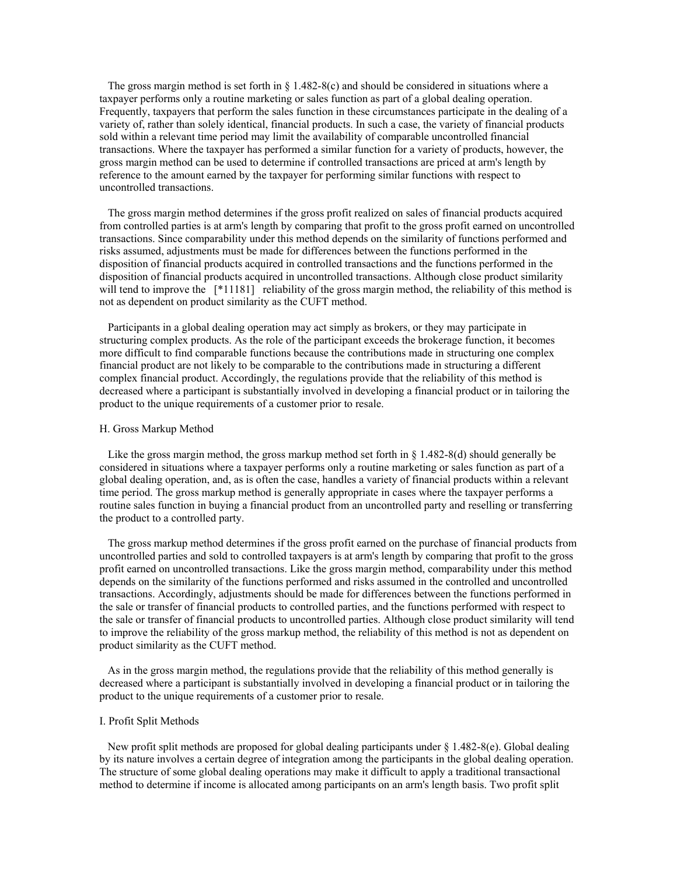The gross margin method is set forth in  $\S 1.482-8(c)$  and should be considered in situations where a taxpayer performs only a routine marketing or sales function as part of a global dealing operation. Frequently, taxpayers that perform the sales function in these circumstances participate in the dealing of a variety of, rather than solely identical, financial products. In such a case, the variety of financial products sold within a relevant time period may limit the availability of comparable uncontrolled financial transactions. Where the taxpayer has performed a similar function for a variety of products, however, the gross margin method can be used to determine if controlled transactions are priced at arm's length by reference to the amount earned by the taxpayer for performing similar functions with respect to uncontrolled transactions.

 The gross margin method determines if the gross profit realized on sales of financial products acquired from controlled parties is at arm's length by comparing that profit to the gross profit earned on uncontrolled transactions. Since comparability under this method depends on the similarity of functions performed and risks assumed, adjustments must be made for differences between the functions performed in the disposition of financial products acquired in controlled transactions and the functions performed in the disposition of financial products acquired in uncontrolled transactions. Although close product similarity will tend to improve the [\*11181] reliability of the gross margin method, the reliability of this method is not as dependent on product similarity as the CUFT method.

 Participants in a global dealing operation may act simply as brokers, or they may participate in structuring complex products. As the role of the participant exceeds the brokerage function, it becomes more difficult to find comparable functions because the contributions made in structuring one complex financial product are not likely to be comparable to the contributions made in structuring a different complex financial product. Accordingly, the regulations provide that the reliability of this method is decreased where a participant is substantially involved in developing a financial product or in tailoring the product to the unique requirements of a customer prior to resale.

### H. Gross Markup Method

Like the gross margin method, the gross markup method set forth in § 1.482-8(d) should generally be considered in situations where a taxpayer performs only a routine marketing or sales function as part of a global dealing operation, and, as is often the case, handles a variety of financial products within a relevant time period. The gross markup method is generally appropriate in cases where the taxpayer performs a routine sales function in buying a financial product from an uncontrolled party and reselling or transferring the product to a controlled party.

 The gross markup method determines if the gross profit earned on the purchase of financial products from uncontrolled parties and sold to controlled taxpayers is at arm's length by comparing that profit to the gross profit earned on uncontrolled transactions. Like the gross margin method, comparability under this method depends on the similarity of the functions performed and risks assumed in the controlled and uncontrolled transactions. Accordingly, adjustments should be made for differences between the functions performed in the sale or transfer of financial products to controlled parties, and the functions performed with respect to the sale or transfer of financial products to uncontrolled parties. Although close product similarity will tend to improve the reliability of the gross markup method, the reliability of this method is not as dependent on product similarity as the CUFT method.

 As in the gross margin method, the regulations provide that the reliability of this method generally is decreased where a participant is substantially involved in developing a financial product or in tailoring the product to the unique requirements of a customer prior to resale.

# I. Profit Split Methods

 New profit split methods are proposed for global dealing participants under § 1.482-8(e). Global dealing by its nature involves a certain degree of integration among the participants in the global dealing operation. The structure of some global dealing operations may make it difficult to apply a traditional transactional method to determine if income is allocated among participants on an arm's length basis. Two profit split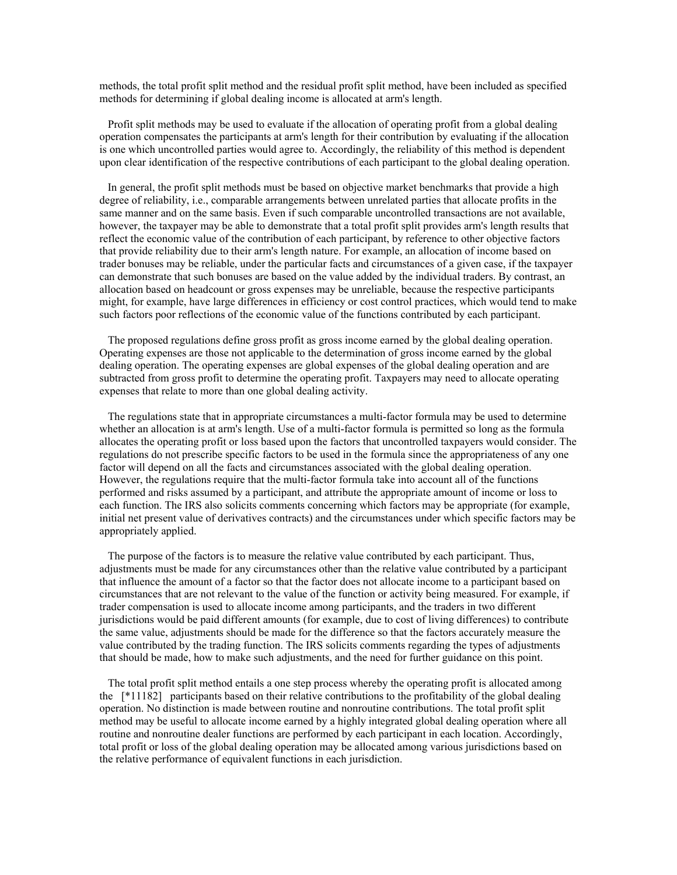methods, the total profit split method and the residual profit split method, have been included as specified methods for determining if global dealing income is allocated at arm's length.

 Profit split methods may be used to evaluate if the allocation of operating profit from a global dealing operation compensates the participants at arm's length for their contribution by evaluating if the allocation is one which uncontrolled parties would agree to. Accordingly, the reliability of this method is dependent upon clear identification of the respective contributions of each participant to the global dealing operation.

 In general, the profit split methods must be based on objective market benchmarks that provide a high degree of reliability, i.e., comparable arrangements between unrelated parties that allocate profits in the same manner and on the same basis. Even if such comparable uncontrolled transactions are not available, however, the taxpayer may be able to demonstrate that a total profit split provides arm's length results that reflect the economic value of the contribution of each participant, by reference to other objective factors that provide reliability due to their arm's length nature. For example, an allocation of income based on trader bonuses may be reliable, under the particular facts and circumstances of a given case, if the taxpayer can demonstrate that such bonuses are based on the value added by the individual traders. By contrast, an allocation based on headcount or gross expenses may be unreliable, because the respective participants might, for example, have large differences in efficiency or cost control practices, which would tend to make such factors poor reflections of the economic value of the functions contributed by each participant.

 The proposed regulations define gross profit as gross income earned by the global dealing operation. Operating expenses are those not applicable to the determination of gross income earned by the global dealing operation. The operating expenses are global expenses of the global dealing operation and are subtracted from gross profit to determine the operating profit. Taxpayers may need to allocate operating expenses that relate to more than one global dealing activity.

 The regulations state that in appropriate circumstances a multi-factor formula may be used to determine whether an allocation is at arm's length. Use of a multi-factor formula is permitted so long as the formula allocates the operating profit or loss based upon the factors that uncontrolled taxpayers would consider. The regulations do not prescribe specific factors to be used in the formula since the appropriateness of any one factor will depend on all the facts and circumstances associated with the global dealing operation. However, the regulations require that the multi-factor formula take into account all of the functions performed and risks assumed by a participant, and attribute the appropriate amount of income or loss to each function. The IRS also solicits comments concerning which factors may be appropriate (for example, initial net present value of derivatives contracts) and the circumstances under which specific factors may be appropriately applied.

 The purpose of the factors is to measure the relative value contributed by each participant. Thus, adjustments must be made for any circumstances other than the relative value contributed by a participant that influence the amount of a factor so that the factor does not allocate income to a participant based on circumstances that are not relevant to the value of the function or activity being measured. For example, if trader compensation is used to allocate income among participants, and the traders in two different jurisdictions would be paid different amounts (for example, due to cost of living differences) to contribute the same value, adjustments should be made for the difference so that the factors accurately measure the value contributed by the trading function. The IRS solicits comments regarding the types of adjustments that should be made, how to make such adjustments, and the need for further guidance on this point.

 The total profit split method entails a one step process whereby the operating profit is allocated among the [\*11182] participants based on their relative contributions to the profitability of the global dealing operation. No distinction is made between routine and nonroutine contributions. The total profit split method may be useful to allocate income earned by a highly integrated global dealing operation where all routine and nonroutine dealer functions are performed by each participant in each location. Accordingly, total profit or loss of the global dealing operation may be allocated among various jurisdictions based on the relative performance of equivalent functions in each jurisdiction.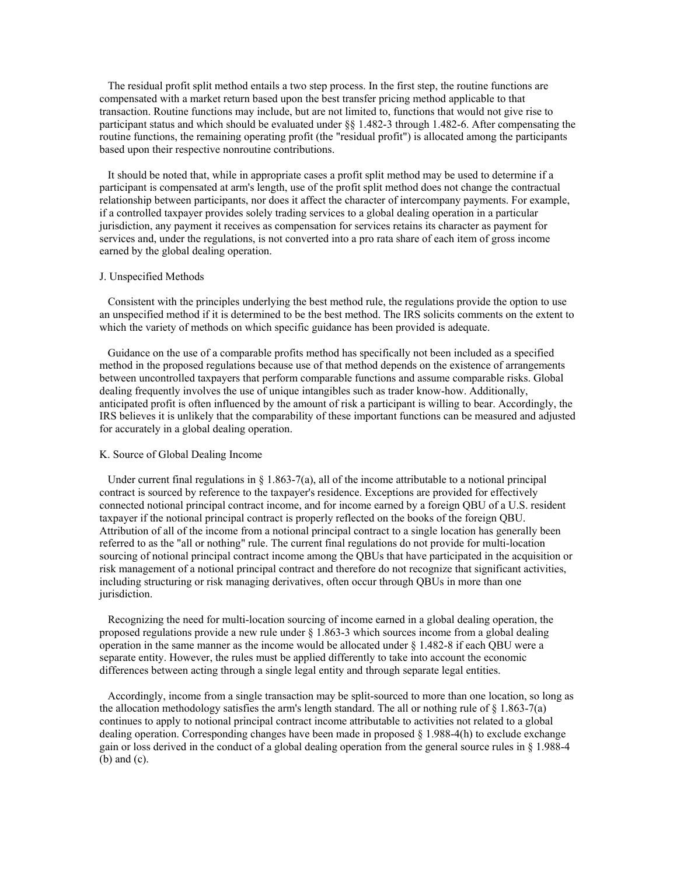The residual profit split method entails a two step process. In the first step, the routine functions are compensated with a market return based upon the best transfer pricing method applicable to that transaction. Routine functions may include, but are not limited to, functions that would not give rise to participant status and which should be evaluated under §§ 1.482-3 through 1.482-6. After compensating the routine functions, the remaining operating profit (the "residual profit") is allocated among the participants based upon their respective nonroutine contributions.

 It should be noted that, while in appropriate cases a profit split method may be used to determine if a participant is compensated at arm's length, use of the profit split method does not change the contractual relationship between participants, nor does it affect the character of intercompany payments. For example, if a controlled taxpayer provides solely trading services to a global dealing operation in a particular jurisdiction, any payment it receives as compensation for services retains its character as payment for services and, under the regulations, is not converted into a pro rata share of each item of gross income earned by the global dealing operation.

## J. Unspecified Methods

 Consistent with the principles underlying the best method rule, the regulations provide the option to use an unspecified method if it is determined to be the best method. The IRS solicits comments on the extent to which the variety of methods on which specific guidance has been provided is adequate.

 Guidance on the use of a comparable profits method has specifically not been included as a specified method in the proposed regulations because use of that method depends on the existence of arrangements between uncontrolled taxpayers that perform comparable functions and assume comparable risks. Global dealing frequently involves the use of unique intangibles such as trader know-how. Additionally, anticipated profit is often influenced by the amount of risk a participant is willing to bear. Accordingly, the IRS believes it is unlikely that the comparability of these important functions can be measured and adjusted for accurately in a global dealing operation.

## K. Source of Global Dealing Income

Under current final regulations in  $\S 1.863-7(a)$ , all of the income attributable to a notional principal contract is sourced by reference to the taxpayer's residence. Exceptions are provided for effectively connected notional principal contract income, and for income earned by a foreign QBU of a U.S. resident taxpayer if the notional principal contract is properly reflected on the books of the foreign QBU. Attribution of all of the income from a notional principal contract to a single location has generally been referred to as the "all or nothing" rule. The current final regulations do not provide for multi-location sourcing of notional principal contract income among the QBUs that have participated in the acquisition or risk management of a notional principal contract and therefore do not recognize that significant activities, including structuring or risk managing derivatives, often occur through QBUs in more than one jurisdiction.

 Recognizing the need for multi-location sourcing of income earned in a global dealing operation, the proposed regulations provide a new rule under  $\S$  1.863-3 which sources income from a global dealing operation in the same manner as the income would be allocated under § 1.482-8 if each QBU were a separate entity. However, the rules must be applied differently to take into account the economic differences between acting through a single legal entity and through separate legal entities.

 Accordingly, income from a single transaction may be split-sourced to more than one location, so long as the allocation methodology satisfies the arm's length standard. The all or nothing rule of  $\S 1.863$ -7(a) continues to apply to notional principal contract income attributable to activities not related to a global dealing operation. Corresponding changes have been made in proposed § 1.988-4(h) to exclude exchange gain or loss derived in the conduct of a global dealing operation from the general source rules in § 1.988-4 (b) and (c).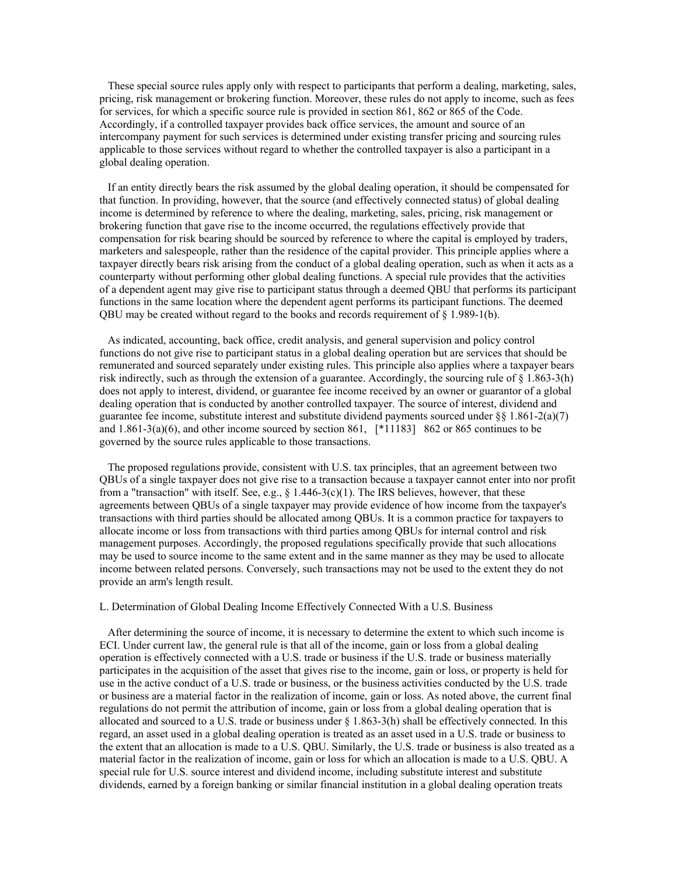These special source rules apply only with respect to participants that perform a dealing, marketing, sales, pricing, risk management or brokering function. Moreover, these rules do not apply to income, such as fees for services, for which a specific source rule is provided in section 861, 862 or 865 of the Code. Accordingly, if a controlled taxpayer provides back office services, the amount and source of an intercompany payment for such services is determined under existing transfer pricing and sourcing rules applicable to those services without regard to whether the controlled taxpayer is also a participant in a global dealing operation.

 If an entity directly bears the risk assumed by the global dealing operation, it should be compensated for that function. In providing, however, that the source (and effectively connected status) of global dealing income is determined by reference to where the dealing, marketing, sales, pricing, risk management or brokering function that gave rise to the income occurred, the regulations effectively provide that compensation for risk bearing should be sourced by reference to where the capital is employed by traders, marketers and salespeople, rather than the residence of the capital provider. This principle applies where a taxpayer directly bears risk arising from the conduct of a global dealing operation, such as when it acts as a counterparty without performing other global dealing functions. A special rule provides that the activities of a dependent agent may give rise to participant status through a deemed QBU that performs its participant functions in the same location where the dependent agent performs its participant functions. The deemed QBU may be created without regard to the books and records requirement of  $\S 1.989-1(b)$ .

 As indicated, accounting, back office, credit analysis, and general supervision and policy control functions do not give rise to participant status in a global dealing operation but are services that should be remunerated and sourced separately under existing rules. This principle also applies where a taxpayer bears risk indirectly, such as through the extension of a guarantee. Accordingly, the sourcing rule of § 1.863-3(h) does not apply to interest, dividend, or guarantee fee income received by an owner or guarantor of a global dealing operation that is conducted by another controlled taxpayer. The source of interest, dividend and guarantee fee income, substitute interest and substitute dividend payments sourced under  $\S$ § 1.861-2(a)(7) and 1.861-3(a)(6), and other income sourced by section 861, [\*11183] 862 or 865 continues to be governed by the source rules applicable to those transactions.

 The proposed regulations provide, consistent with U.S. tax principles, that an agreement between two QBUs of a single taxpayer does not give rise to a transaction because a taxpayer cannot enter into nor profit from a "transaction" with itself. See, e.g.,  $\S$  1.446-3(c)(1). The IRS believes, however, that these agreements between QBUs of a single taxpayer may provide evidence of how income from the taxpayer's transactions with third parties should be allocated among QBUs. It is a common practice for taxpayers to allocate income or loss from transactions with third parties among QBUs for internal control and risk management purposes. Accordingly, the proposed regulations specifically provide that such allocations may be used to source income to the same extent and in the same manner as they may be used to allocate income between related persons. Conversely, such transactions may not be used to the extent they do not provide an arm's length result.

## L. Determination of Global Dealing Income Effectively Connected With a U.S. Business

 After determining the source of income, it is necessary to determine the extent to which such income is ECI. Under current law, the general rule is that all of the income, gain or loss from a global dealing operation is effectively connected with a U.S. trade or business if the U.S. trade or business materially participates in the acquisition of the asset that gives rise to the income, gain or loss, or property is held for use in the active conduct of a U.S. trade or business, or the business activities conducted by the U.S. trade or business are a material factor in the realization of income, gain or loss. As noted above, the current final regulations do not permit the attribution of income, gain or loss from a global dealing operation that is allocated and sourced to a U.S. trade or business under  $\S$  1.863-3(h) shall be effectively connected. In this regard, an asset used in a global dealing operation is treated as an asset used in a U.S. trade or business to the extent that an allocation is made to a U.S. QBU. Similarly, the U.S. trade or business is also treated as a material factor in the realization of income, gain or loss for which an allocation is made to a U.S. QBU. A special rule for U.S. source interest and dividend income, including substitute interest and substitute dividends, earned by a foreign banking or similar financial institution in a global dealing operation treats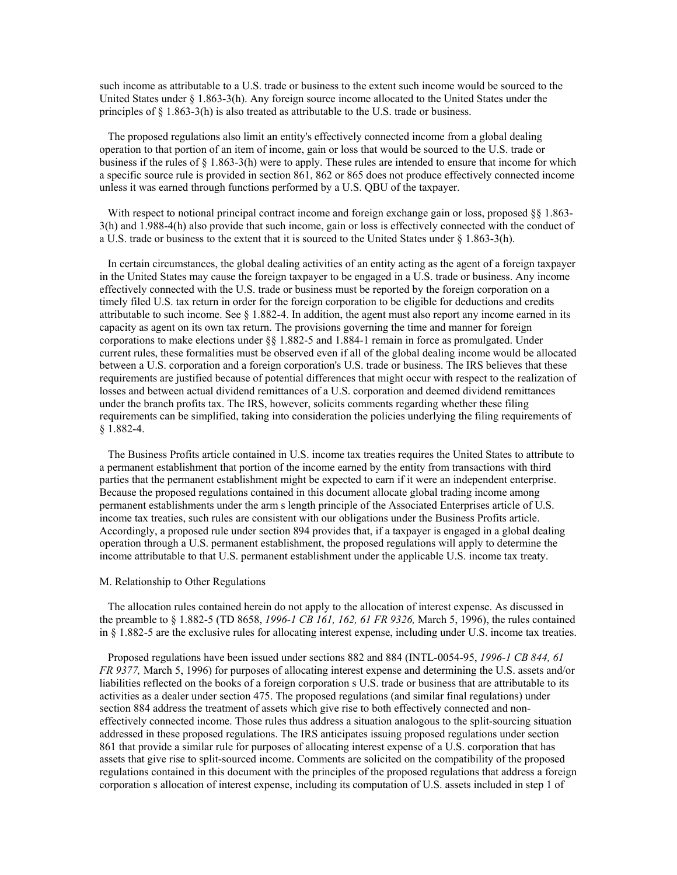such income as attributable to a U.S. trade or business to the extent such income would be sourced to the United States under § 1.863-3(h). Any foreign source income allocated to the United States under the principles of § 1.863-3(h) is also treated as attributable to the U.S. trade or business.

 The proposed regulations also limit an entity's effectively connected income from a global dealing operation to that portion of an item of income, gain or loss that would be sourced to the U.S. trade or business if the rules of § 1.863-3(h) were to apply. These rules are intended to ensure that income for which a specific source rule is provided in section 861, 862 or 865 does not produce effectively connected income unless it was earned through functions performed by a U.S. QBU of the taxpayer.

With respect to notional principal contract income and foreign exchange gain or loss, proposed §§ 1.863-3(h) and 1.988-4(h) also provide that such income, gain or loss is effectively connected with the conduct of a U.S. trade or business to the extent that it is sourced to the United States under  $\S 1.863-3(h)$ .

 In certain circumstances, the global dealing activities of an entity acting as the agent of a foreign taxpayer in the United States may cause the foreign taxpayer to be engaged in a U.S. trade or business. Any income effectively connected with the U.S. trade or business must be reported by the foreign corporation on a timely filed U.S. tax return in order for the foreign corporation to be eligible for deductions and credits attributable to such income. See  $\S 1.882-4$ . In addition, the agent must also report any income earned in its capacity as agent on its own tax return. The provisions governing the time and manner for foreign corporations to make elections under §§ 1.882-5 and 1.884-1 remain in force as promulgated. Under current rules, these formalities must be observed even if all of the global dealing income would be allocated between a U.S. corporation and a foreign corporation's U.S. trade or business. The IRS believes that these requirements are justified because of potential differences that might occur with respect to the realization of losses and between actual dividend remittances of a U.S. corporation and deemed dividend remittances under the branch profits tax. The IRS, however, solicits comments regarding whether these filing requirements can be simplified, taking into consideration the policies underlying the filing requirements of § 1.882-4.

 The Business Profits article contained in U.S. income tax treaties requires the United States to attribute to a permanent establishment that portion of the income earned by the entity from transactions with third parties that the permanent establishment might be expected to earn if it were an independent enterprise. Because the proposed regulations contained in this document allocate global trading income among permanent establishments under the arm s length principle of the Associated Enterprises article of U.S. income tax treaties, such rules are consistent with our obligations under the Business Profits article. Accordingly, a proposed rule under section 894 provides that, if a taxpayer is engaged in a global dealing operation through a U.S. permanent establishment, the proposed regulations will apply to determine the income attributable to that U.S. permanent establishment under the applicable U.S. income tax treaty.

### M. Relationship to Other Regulations

 The allocation rules contained herein do not apply to the allocation of interest expense. As discussed in the preamble to § 1.882-5 (TD 8658, *1996-1 CB 161, 162, 61 FR 9326,* March 5, 1996), the rules contained in § 1.882-5 are the exclusive rules for allocating interest expense, including under U.S. income tax treaties.

 Proposed regulations have been issued under sections 882 and 884 (INTL-0054-95, *1996-1 CB 844, 61 FR 9377,* March 5, 1996) for purposes of allocating interest expense and determining the U.S. assets and/or liabilities reflected on the books of a foreign corporation s U.S. trade or business that are attributable to its activities as a dealer under section 475. The proposed regulations (and similar final regulations) under section 884 address the treatment of assets which give rise to both effectively connected and noneffectively connected income. Those rules thus address a situation analogous to the split-sourcing situation addressed in these proposed regulations. The IRS anticipates issuing proposed regulations under section 861 that provide a similar rule for purposes of allocating interest expense of a U.S. corporation that has assets that give rise to split-sourced income. Comments are solicited on the compatibility of the proposed regulations contained in this document with the principles of the proposed regulations that address a foreign corporation s allocation of interest expense, including its computation of U.S. assets included in step 1 of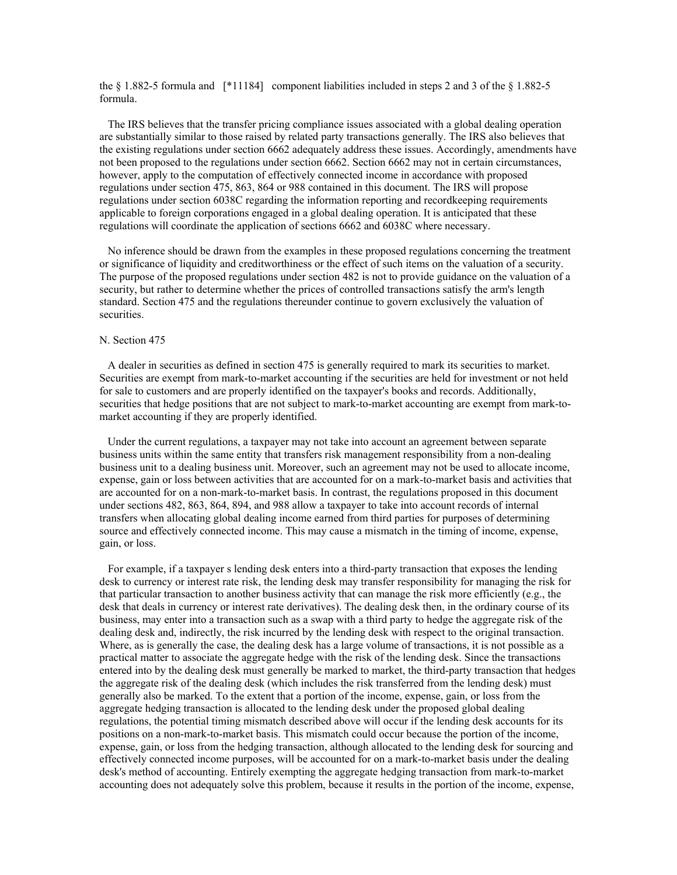the § 1.882-5 formula and [\*11184] component liabilities included in steps 2 and 3 of the § 1.882-5 formula.

 The IRS believes that the transfer pricing compliance issues associated with a global dealing operation are substantially similar to those raised by related party transactions generally. The IRS also believes that the existing regulations under section 6662 adequately address these issues. Accordingly, amendments have not been proposed to the regulations under section 6662. Section 6662 may not in certain circumstances, however, apply to the computation of effectively connected income in accordance with proposed regulations under section 475, 863, 864 or 988 contained in this document. The IRS will propose regulations under section 6038C regarding the information reporting and recordkeeping requirements applicable to foreign corporations engaged in a global dealing operation. It is anticipated that these regulations will coordinate the application of sections 6662 and 6038C where necessary.

 No inference should be drawn from the examples in these proposed regulations concerning the treatment or significance of liquidity and creditworthiness or the effect of such items on the valuation of a security. The purpose of the proposed regulations under section 482 is not to provide guidance on the valuation of a security, but rather to determine whether the prices of controlled transactions satisfy the arm's length standard. Section 475 and the regulations thereunder continue to govern exclusively the valuation of securities.

# N. Section 475

 A dealer in securities as defined in section 475 is generally required to mark its securities to market. Securities are exempt from mark-to-market accounting if the securities are held for investment or not held for sale to customers and are properly identified on the taxpayer's books and records. Additionally, securities that hedge positions that are not subject to mark-to-market accounting are exempt from mark-tomarket accounting if they are properly identified.

 Under the current regulations, a taxpayer may not take into account an agreement between separate business units within the same entity that transfers risk management responsibility from a non-dealing business unit to a dealing business unit. Moreover, such an agreement may not be used to allocate income, expense, gain or loss between activities that are accounted for on a mark-to-market basis and activities that are accounted for on a non-mark-to-market basis. In contrast, the regulations proposed in this document under sections 482, 863, 864, 894, and 988 allow a taxpayer to take into account records of internal transfers when allocating global dealing income earned from third parties for purposes of determining source and effectively connected income. This may cause a mismatch in the timing of income, expense, gain, or loss.

 For example, if a taxpayer s lending desk enters into a third-party transaction that exposes the lending desk to currency or interest rate risk, the lending desk may transfer responsibility for managing the risk for that particular transaction to another business activity that can manage the risk more efficiently (e.g., the desk that deals in currency or interest rate derivatives). The dealing desk then, in the ordinary course of its business, may enter into a transaction such as a swap with a third party to hedge the aggregate risk of the dealing desk and, indirectly, the risk incurred by the lending desk with respect to the original transaction. Where, as is generally the case, the dealing desk has a large volume of transactions, it is not possible as a practical matter to associate the aggregate hedge with the risk of the lending desk. Since the transactions entered into by the dealing desk must generally be marked to market, the third-party transaction that hedges the aggregate risk of the dealing desk (which includes the risk transferred from the lending desk) must generally also be marked. To the extent that a portion of the income, expense, gain, or loss from the aggregate hedging transaction is allocated to the lending desk under the proposed global dealing regulations, the potential timing mismatch described above will occur if the lending desk accounts for its positions on a non-mark-to-market basis. This mismatch could occur because the portion of the income, expense, gain, or loss from the hedging transaction, although allocated to the lending desk for sourcing and effectively connected income purposes, will be accounted for on a mark-to-market basis under the dealing desk's method of accounting. Entirely exempting the aggregate hedging transaction from mark-to-market accounting does not adequately solve this problem, because it results in the portion of the income, expense,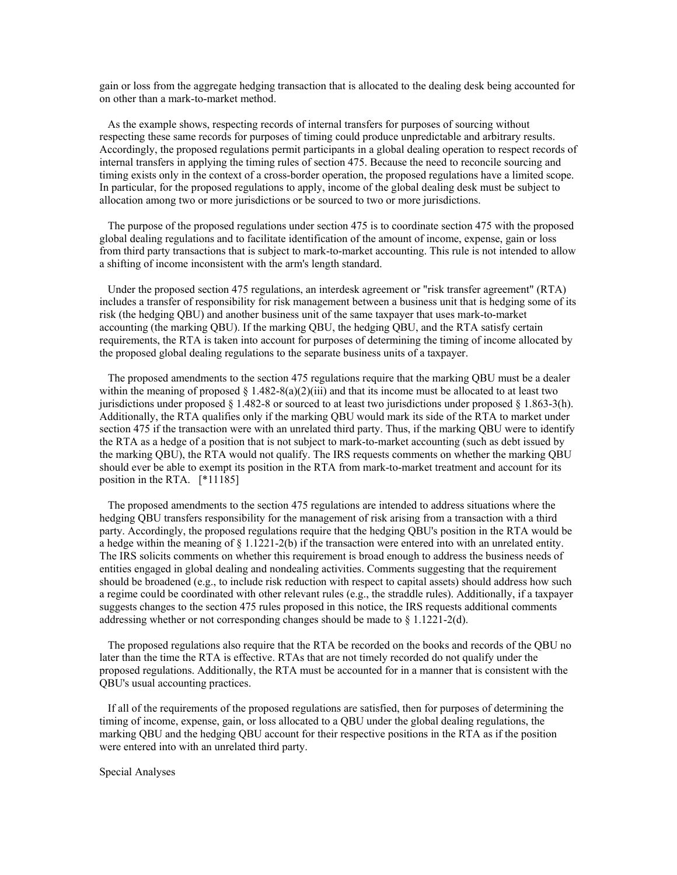gain or loss from the aggregate hedging transaction that is allocated to the dealing desk being accounted for on other than a mark-to-market method.

 As the example shows, respecting records of internal transfers for purposes of sourcing without respecting these same records for purposes of timing could produce unpredictable and arbitrary results. Accordingly, the proposed regulations permit participants in a global dealing operation to respect records of internal transfers in applying the timing rules of section 475. Because the need to reconcile sourcing and timing exists only in the context of a cross-border operation, the proposed regulations have a limited scope. In particular, for the proposed regulations to apply, income of the global dealing desk must be subject to allocation among two or more jurisdictions or be sourced to two or more jurisdictions.

 The purpose of the proposed regulations under section 475 is to coordinate section 475 with the proposed global dealing regulations and to facilitate identification of the amount of income, expense, gain or loss from third party transactions that is subject to mark-to-market accounting. This rule is not intended to allow a shifting of income inconsistent with the arm's length standard.

 Under the proposed section 475 regulations, an interdesk agreement or "risk transfer agreement" (RTA) includes a transfer of responsibility for risk management between a business unit that is hedging some of its risk (the hedging QBU) and another business unit of the same taxpayer that uses mark-to-market accounting (the marking QBU). If the marking QBU, the hedging QBU, and the RTA satisfy certain requirements, the RTA is taken into account for purposes of determining the timing of income allocated by the proposed global dealing regulations to the separate business units of a taxpayer.

 The proposed amendments to the section 475 regulations require that the marking QBU must be a dealer within the meaning of proposed  $\S 1.482-8(a)(2)(iii)$  and that its income must be allocated to at least two jurisdictions under proposed § 1.482-8 or sourced to at least two jurisdictions under proposed § 1.863-3(h). Additionally, the RTA qualifies only if the marking QBU would mark its side of the RTA to market under section 475 if the transaction were with an unrelated third party. Thus, if the marking QBU were to identify the RTA as a hedge of a position that is not subject to mark-to-market accounting (such as debt issued by the marking QBU), the RTA would not qualify. The IRS requests comments on whether the marking QBU should ever be able to exempt its position in the RTA from mark-to-market treatment and account for its position in the RTA. [\*11185]

 The proposed amendments to the section 475 regulations are intended to address situations where the hedging QBU transfers responsibility for the management of risk arising from a transaction with a third party. Accordingly, the proposed regulations require that the hedging QBU's position in the RTA would be a hedge within the meaning of  $\S 1.1221-2(b)$  if the transaction were entered into with an unrelated entity. The IRS solicits comments on whether this requirement is broad enough to address the business needs of entities engaged in global dealing and nondealing activities. Comments suggesting that the requirement should be broadened (e.g., to include risk reduction with respect to capital assets) should address how such a regime could be coordinated with other relevant rules (e.g., the straddle rules). Additionally, if a taxpayer suggests changes to the section 475 rules proposed in this notice, the IRS requests additional comments addressing whether or not corresponding changes should be made to § 1.1221-2(d).

 The proposed regulations also require that the RTA be recorded on the books and records of the QBU no later than the time the RTA is effective. RTAs that are not timely recorded do not qualify under the proposed regulations. Additionally, the RTA must be accounted for in a manner that is consistent with the QBU's usual accounting practices.

 If all of the requirements of the proposed regulations are satisfied, then for purposes of determining the timing of income, expense, gain, or loss allocated to a QBU under the global dealing regulations, the marking QBU and the hedging QBU account for their respective positions in the RTA as if the position were entered into with an unrelated third party.

Special Analyses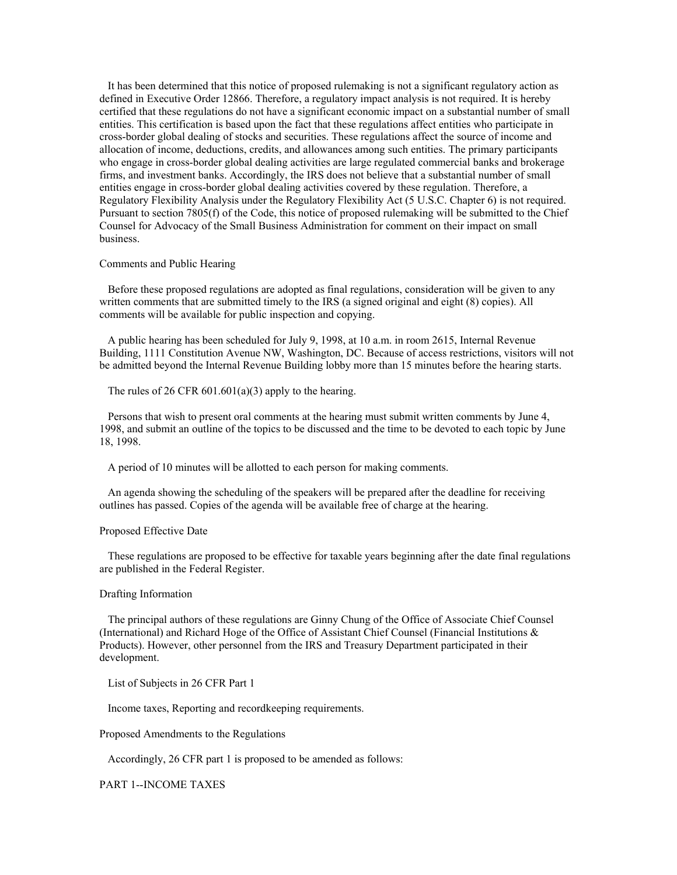It has been determined that this notice of proposed rulemaking is not a significant regulatory action as defined in Executive Order 12866. Therefore, a regulatory impact analysis is not required. It is hereby certified that these regulations do not have a significant economic impact on a substantial number of small entities. This certification is based upon the fact that these regulations affect entities who participate in cross-border global dealing of stocks and securities. These regulations affect the source of income and allocation of income, deductions, credits, and allowances among such entities. The primary participants who engage in cross-border global dealing activities are large regulated commercial banks and brokerage firms, and investment banks. Accordingly, the IRS does not believe that a substantial number of small entities engage in cross-border global dealing activities covered by these regulation. Therefore, a Regulatory Flexibility Analysis under the Regulatory Flexibility Act (5 U.S.C. Chapter 6) is not required. Pursuant to section 7805(f) of the Code, this notice of proposed rulemaking will be submitted to the Chief Counsel for Advocacy of the Small Business Administration for comment on their impact on small business.

### Comments and Public Hearing

 Before these proposed regulations are adopted as final regulations, consideration will be given to any written comments that are submitted timely to the IRS (a signed original and eight (8) copies). All comments will be available for public inspection and copying.

 A public hearing has been scheduled for July 9, 1998, at 10 a.m. in room 2615, Internal Revenue Building, 1111 Constitution Avenue NW, Washington, DC. Because of access restrictions, visitors will not be admitted beyond the Internal Revenue Building lobby more than 15 minutes before the hearing starts.

The rules of 26 CFR  $601.601(a)(3)$  apply to the hearing.

 Persons that wish to present oral comments at the hearing must submit written comments by June 4, 1998, and submit an outline of the topics to be discussed and the time to be devoted to each topic by June 18, 1998.

A period of 10 minutes will be allotted to each person for making comments.

 An agenda showing the scheduling of the speakers will be prepared after the deadline for receiving outlines has passed. Copies of the agenda will be available free of charge at the hearing.

### Proposed Effective Date

 These regulations are proposed to be effective for taxable years beginning after the date final regulations are published in the Federal Register.

## Drafting Information

 The principal authors of these regulations are Ginny Chung of the Office of Associate Chief Counsel (International) and Richard Hoge of the Office of Assistant Chief Counsel (Financial Institutions & Products). However, other personnel from the IRS and Treasury Department participated in their development.

List of Subjects in 26 CFR Part 1

Income taxes, Reporting and recordkeeping requirements.

Proposed Amendments to the Regulations

Accordingly, 26 CFR part 1 is proposed to be amended as follows:

PART 1--INCOME TAXES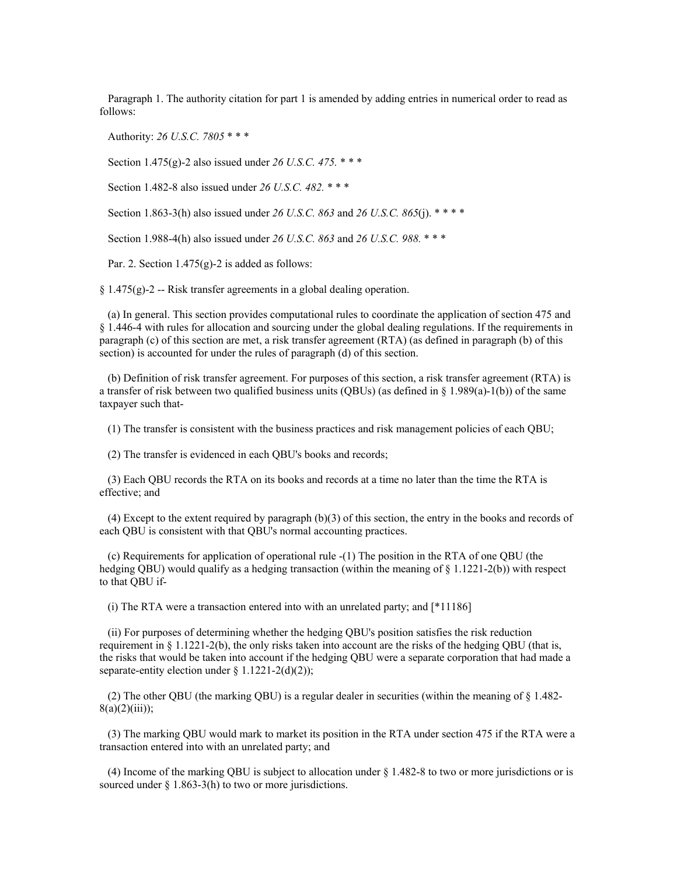Paragraph 1. The authority citation for part 1 is amended by adding entries in numerical order to read as follows:

Authority: *26 U.S.C. 7805* \* \* \*

Section 1.475(g)-2 also issued under *26 U.S.C. 475.* \* \* \*

Section 1.482-8 also issued under *26 U.S.C. 482.* \* \* \*

Section 1.863-3(h) also issued under *26 U.S.C. 863* and *26 U.S.C. 865*(j). \* \* \* \*

Section 1.988-4(h) also issued under *26 U.S.C. 863* and *26 U.S.C. 988.* \* \* \*

Par. 2. Section  $1.475(g)$ -2 is added as follows:

 $\S 1.475(g)-2$  -- Risk transfer agreements in a global dealing operation.

 (a) In general. This section provides computational rules to coordinate the application of section 475 and § 1.446-4 with rules for allocation and sourcing under the global dealing regulations. If the requirements in paragraph (c) of this section are met, a risk transfer agreement (RTA) (as defined in paragraph (b) of this section) is accounted for under the rules of paragraph (d) of this section.

 (b) Definition of risk transfer agreement. For purposes of this section, a risk transfer agreement (RTA) is a transfer of risk between two qualified business units (QBUs) (as defined in  $\S$  1.989(a)-1(b)) of the same taxpayer such that-

(1) The transfer is consistent with the business practices and risk management policies of each QBU;

(2) The transfer is evidenced in each QBU's books and records;

 (3) Each QBU records the RTA on its books and records at a time no later than the time the RTA is effective; and

 (4) Except to the extent required by paragraph (b)(3) of this section, the entry in the books and records of each QBU is consistent with that QBU's normal accounting practices.

 (c) Requirements for application of operational rule -(1) The position in the RTA of one QBU (the hedging QBU) would qualify as a hedging transaction (within the meaning of  $\S$  1.1221-2(b)) with respect to that QBU if-

(i) The RTA were a transaction entered into with an unrelated party; and [\*11186]

 (ii) For purposes of determining whether the hedging QBU's position satisfies the risk reduction requirement in  $\S 1.1221-2(b)$ , the only risks taken into account are the risks of the hedging QBU (that is, the risks that would be taken into account if the hedging QBU were a separate corporation that had made a separate-entity election under  $\S 1.1221-2(d)(2)$ ;

 (2) The other QBU (the marking QBU) is a regular dealer in securities (within the meaning of § 1.482-  $8(a)(2)(iii)$ ;

 (3) The marking QBU would mark to market its position in the RTA under section 475 if the RTA were a transaction entered into with an unrelated party; and

 (4) Income of the marking QBU is subject to allocation under § 1.482-8 to two or more jurisdictions or is sourced under  $\S 1.863-3(h)$  to two or more jurisdictions.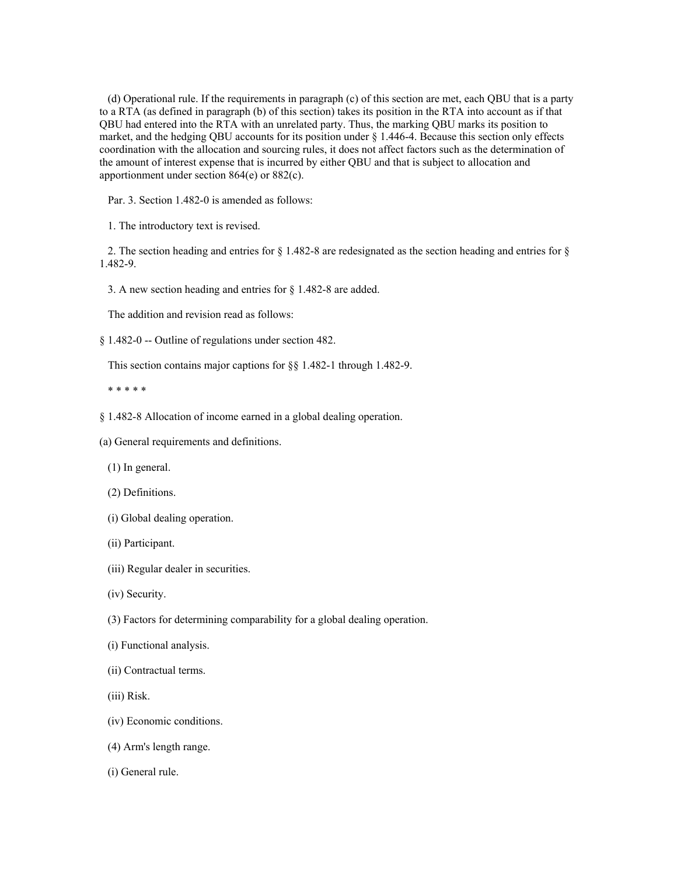(d) Operational rule. If the requirements in paragraph (c) of this section are met, each QBU that is a party to a RTA (as defined in paragraph (b) of this section) takes its position in the RTA into account as if that QBU had entered into the RTA with an unrelated party. Thus, the marking QBU marks its position to market, and the hedging QBU accounts for its position under § 1.446-4. Because this section only effects coordination with the allocation and sourcing rules, it does not affect factors such as the determination of the amount of interest expense that is incurred by either QBU and that is subject to allocation and apportionment under section 864(e) or 882(c).

Par. 3. Section 1.482-0 is amended as follows:

1. The introductory text is revised.

 2. The section heading and entries for § 1.482-8 are redesignated as the section heading and entries for § 1.482-9.

3. A new section heading and entries for § 1.482-8 are added.

The addition and revision read as follows:

§ 1.482-0 -- Outline of regulations under section 482.

This section contains major captions for §§ 1.482-1 through 1.482-9.

\* \* \* \* \*

§ 1.482-8 Allocation of income earned in a global dealing operation.

(a) General requirements and definitions.

(1) In general.

(2) Definitions.

- (i) Global dealing operation.
- (ii) Participant.
- (iii) Regular dealer in securities.
- (iv) Security.

(3) Factors for determining comparability for a global dealing operation.

(i) Functional analysis.

(ii) Contractual terms.

- (iii) Risk.
- (iv) Economic conditions.
- (4) Arm's length range.
- (i) General rule.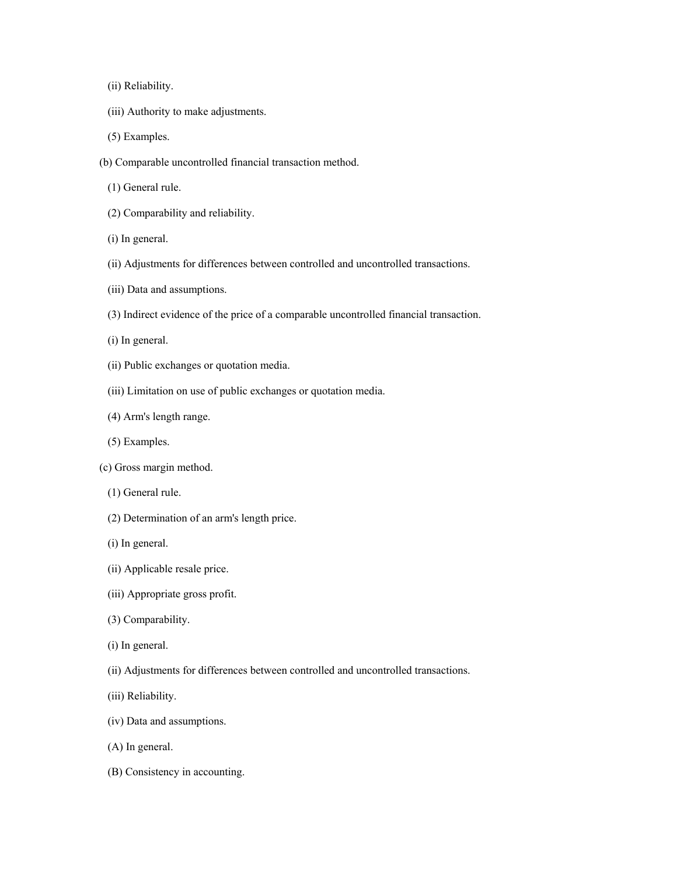(ii) Reliability.

- (iii) Authority to make adjustments.
- (5) Examples.
- (b) Comparable uncontrolled financial transaction method.
	- (1) General rule.
	- (2) Comparability and reliability.
	- (i) In general.
	- (ii) Adjustments for differences between controlled and uncontrolled transactions.
	- (iii) Data and assumptions.
	- (3) Indirect evidence of the price of a comparable uncontrolled financial transaction.
	- (i) In general.
	- (ii) Public exchanges or quotation media.
	- (iii) Limitation on use of public exchanges or quotation media.
	- (4) Arm's length range.
	- (5) Examples.
- (c) Gross margin method.
	- (1) General rule.
	- (2) Determination of an arm's length price.
	- (i) In general.
	- (ii) Applicable resale price.
	- (iii) Appropriate gross profit.
	- (3) Comparability.
	- (i) In general.
	- (ii) Adjustments for differences between controlled and uncontrolled transactions.
	- (iii) Reliability.
	- (iv) Data and assumptions.
	- (A) In general.
	- (B) Consistency in accounting.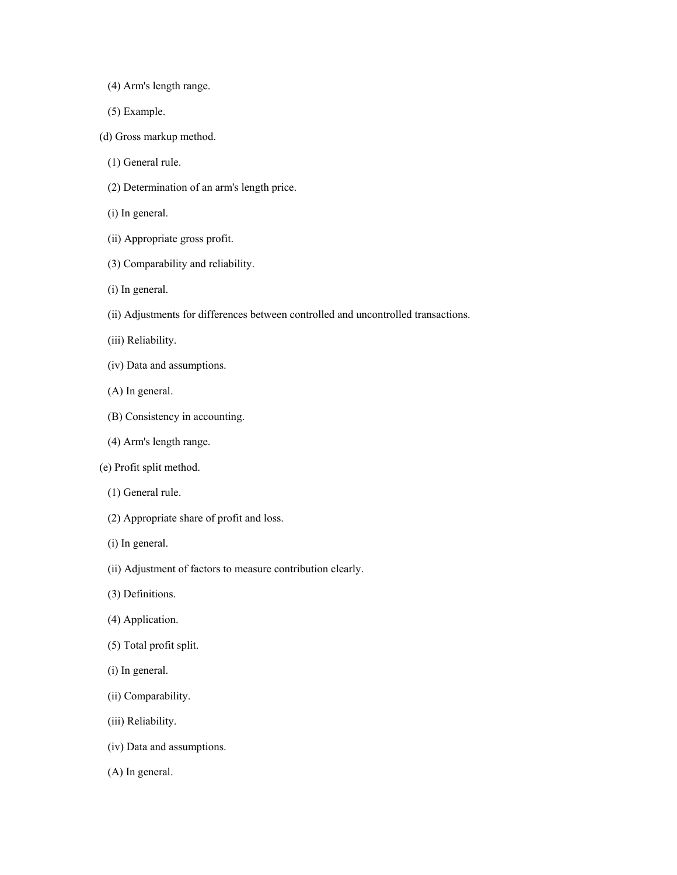- (4) Arm's length range.
- (5) Example.
- (d) Gross markup method.
	- (1) General rule.
	- (2) Determination of an arm's length price.
	- (i) In general.
	- (ii) Appropriate gross profit.
	- (3) Comparability and reliability.
	- (i) In general.
	- (ii) Adjustments for differences between controlled and uncontrolled transactions.
	- (iii) Reliability.
	- (iv) Data and assumptions.
	- (A) In general.
	- (B) Consistency in accounting.
	- (4) Arm's length range.
- (e) Profit split method.
	- (1) General rule.
	- (2) Appropriate share of profit and loss.
	- (i) In general.
	- (ii) Adjustment of factors to measure contribution clearly.
	- (3) Definitions.
	- (4) Application.
	- (5) Total profit split.
	- (i) In general.
	- (ii) Comparability.
	- (iii) Reliability.
	- (iv) Data and assumptions.
	- (A) In general.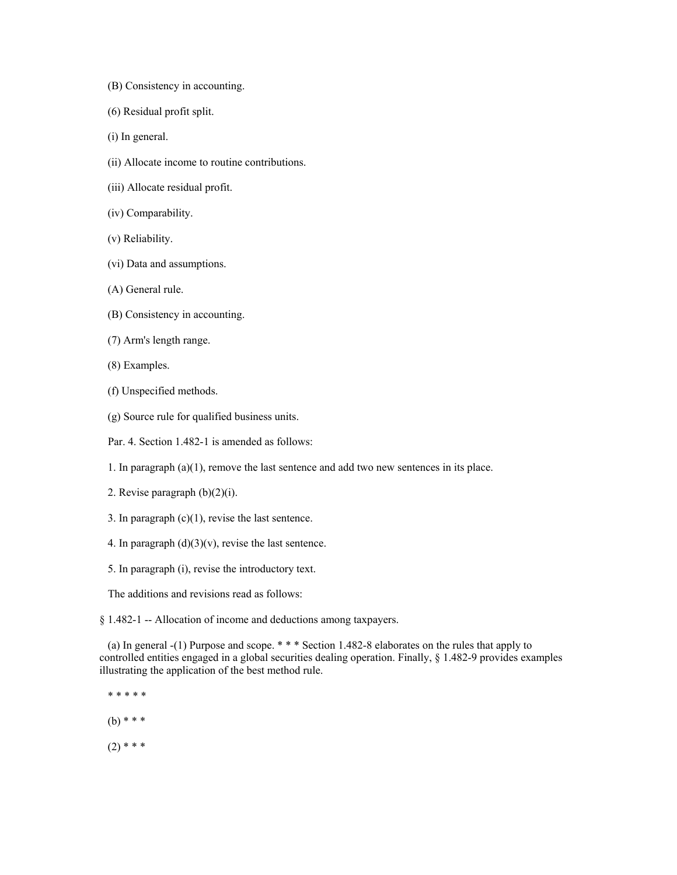- (B) Consistency in accounting.
- (6) Residual profit split.
- (i) In general.
- (ii) Allocate income to routine contributions.
- (iii) Allocate residual profit.
- (iv) Comparability.
- (v) Reliability.
- (vi) Data and assumptions.
- (A) General rule.
- (B) Consistency in accounting.
- (7) Arm's length range.
- (8) Examples.
- (f) Unspecified methods.
- (g) Source rule for qualified business units.
- Par. 4. Section 1.482-1 is amended as follows:
- 1. In paragraph (a)(1), remove the last sentence and add two new sentences in its place.
- 2. Revise paragraph (b)(2)(i).
- 3. In paragraph  $(c)(1)$ , revise the last sentence.
- 4. In paragraph  $(d)(3)(v)$ , revise the last sentence.
- 5. In paragraph (i), revise the introductory text.

The additions and revisions read as follows:

§ 1.482-1 -- Allocation of income and deductions among taxpayers.

 (a) In general -(1) Purpose and scope. \* \* \* Section 1.482-8 elaborates on the rules that apply to controlled entities engaged in a global securities dealing operation. Finally, § 1.482-9 provides examples illustrating the application of the best method rule.

- \* \* \* \* \*
- (b) \* \* \*
- $(2)$  \* \* \*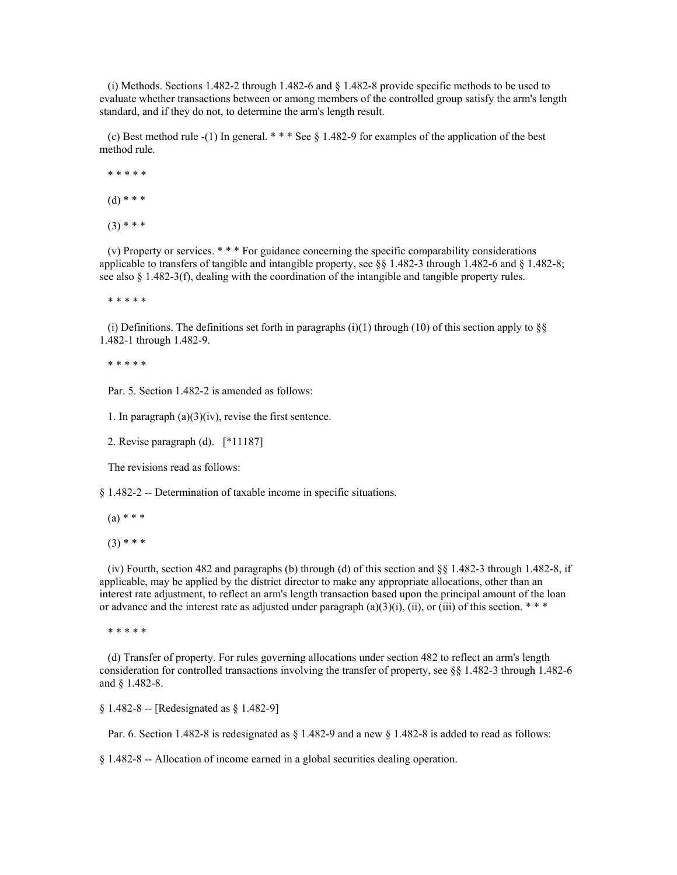(i) Methods. Sections 1.482-2 through 1.482-6 and § 1.482-8 provide specific methods to be used to evaluate whether transactions between or among members of the controlled group satisfy the arm's length standard, and if they do not, to determine the arm's length result.

 (c) Best method rule -(1) In general. \* \* \* See § 1.482-9 for examples of the application of the best method rule.

 \* \* \* \* \*  $(d)$  \* \* \*  $(3)$  \* \* \*

 (v) Property or services. \* \* \* For guidance concerning the specific comparability considerations applicable to transfers of tangible and intangible property, see §§ 1.482-3 through 1.482-6 and § 1.482-8; see also  $\S$  1.482-3(f), dealing with the coordination of the intangible and tangible property rules.

\* \* \* \* \*

(i) Definitions. The definitions set forth in paragraphs (i)(1) through (10) of this section apply to  $\S$ 1.482-1 through 1.482-9.

\* \* \* \* \*

Par. 5. Section 1.482-2 is amended as follows:

1. In paragraph  $(a)(3)(iv)$ , revise the first sentence.

2. Revise paragraph (d). [\*11187]

The revisions read as follows:

§ 1.482-2 -- Determination of taxable income in specific situations.

 $(a) * * *$ 

 $(3)$  \* \* \*

 (iv) Fourth, section 482 and paragraphs (b) through (d) of this section and §§ 1.482-3 through 1.482-8, if applicable, may be applied by the district director to make any appropriate allocations, other than an interest rate adjustment, to reflect an arm's length transaction based upon the principal amount of the loan or advance and the interest rate as adjusted under paragraph  $(a)(3)(i)$ ,  $(ii)$ , or  $(iii)$  of this section. \* \* \*

\* \* \* \* \*

 (d) Transfer of property. For rules governing allocations under section 482 to reflect an arm's length consideration for controlled transactions involving the transfer of property, see §§ 1.482-3 through 1.482-6 and § 1.482-8.

§ 1.482-8 -- [Redesignated as § 1.482-9]

Par. 6. Section 1.482-8 is redesignated as § 1.482-9 and a new § 1.482-8 is added to read as follows:

§ 1.482-8 -- Allocation of income earned in a global securities dealing operation.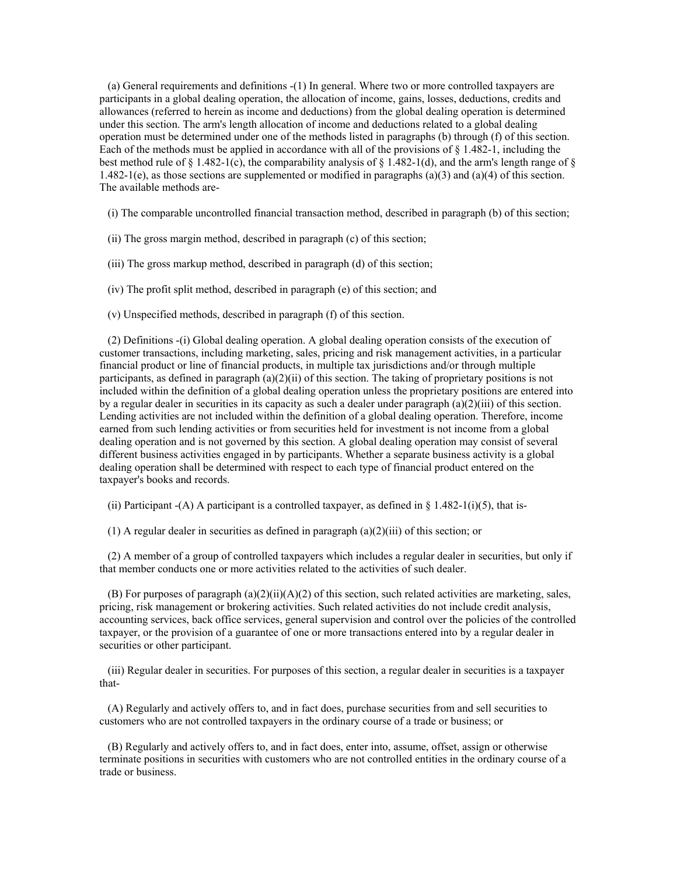(a) General requirements and definitions -(1) In general. Where two or more controlled taxpayers are participants in a global dealing operation, the allocation of income, gains, losses, deductions, credits and allowances (referred to herein as income and deductions) from the global dealing operation is determined under this section. The arm's length allocation of income and deductions related to a global dealing operation must be determined under one of the methods listed in paragraphs (b) through (f) of this section. Each of the methods must be applied in accordance with all of the provisions of § 1.482-1, including the best method rule of  $\S$  1.482-1(c), the comparability analysis of  $\S$  1.482-1(d), and the arm's length range of  $\S$ 1.482-1(e), as those sections are supplemented or modified in paragraphs (a)(3) and (a)(4) of this section. The available methods are-

(i) The comparable uncontrolled financial transaction method, described in paragraph (b) of this section;

- (ii) The gross margin method, described in paragraph (c) of this section;
- (iii) The gross markup method, described in paragraph (d) of this section;
- (iv) The profit split method, described in paragraph (e) of this section; and
- (v) Unspecified methods, described in paragraph (f) of this section.

 (2) Definitions -(i) Global dealing operation. A global dealing operation consists of the execution of customer transactions, including marketing, sales, pricing and risk management activities, in a particular financial product or line of financial products, in multiple tax jurisdictions and/or through multiple participants, as defined in paragraph (a)(2)(ii) of this section. The taking of proprietary positions is not included within the definition of a global dealing operation unless the proprietary positions are entered into by a regular dealer in securities in its capacity as such a dealer under paragraph (a)(2)(iii) of this section. Lending activities are not included within the definition of a global dealing operation. Therefore, income earned from such lending activities or from securities held for investment is not income from a global dealing operation and is not governed by this section. A global dealing operation may consist of several different business activities engaged in by participants. Whether a separate business activity is a global dealing operation shall be determined with respect to each type of financial product entered on the taxpayer's books and records.

(ii) Participant  $-(A)$  A participant is a controlled taxpayer, as defined in § 1.482-1(i)(5), that is-

(1) A regular dealer in securities as defined in paragraph (a)(2)(iii) of this section; or

 (2) A member of a group of controlled taxpayers which includes a regular dealer in securities, but only if that member conducts one or more activities related to the activities of such dealer.

(B) For purposes of paragraph (a)(2)(ii)(A)(2) of this section, such related activities are marketing, sales, pricing, risk management or brokering activities. Such related activities do not include credit analysis, accounting services, back office services, general supervision and control over the policies of the controlled taxpayer, or the provision of a guarantee of one or more transactions entered into by a regular dealer in securities or other participant.

 (iii) Regular dealer in securities. For purposes of this section, a regular dealer in securities is a taxpayer that-

 (A) Regularly and actively offers to, and in fact does, purchase securities from and sell securities to customers who are not controlled taxpayers in the ordinary course of a trade or business; or

 (B) Regularly and actively offers to, and in fact does, enter into, assume, offset, assign or otherwise terminate positions in securities with customers who are not controlled entities in the ordinary course of a trade or business.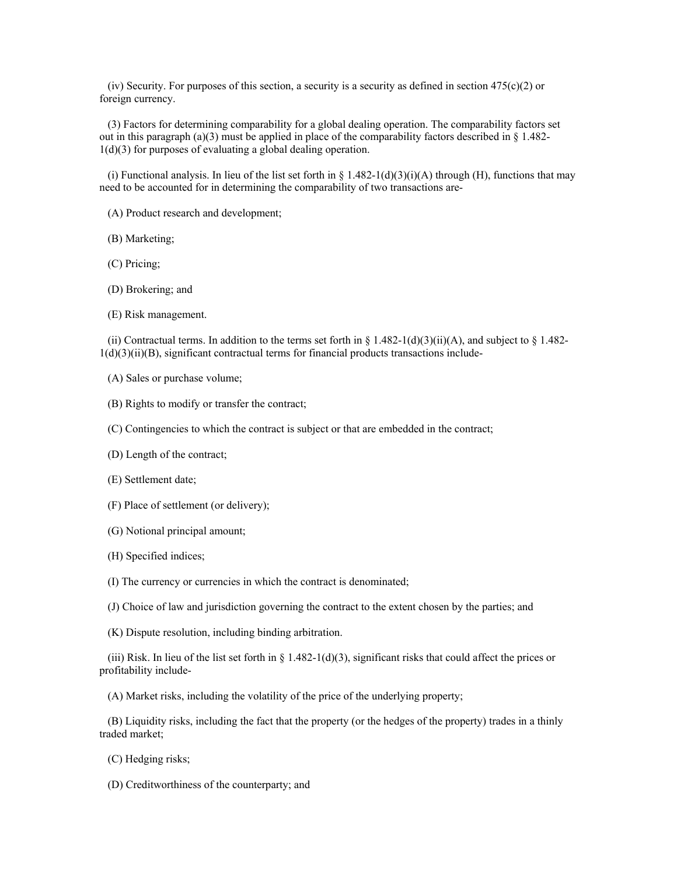(iv) Security. For purposes of this section, a security is a security as defined in section  $475(c)(2)$  or foreign currency.

 (3) Factors for determining comparability for a global dealing operation. The comparability factors set out in this paragraph (a)(3) must be applied in place of the comparability factors described in  $\S 1.482$ -1(d)(3) for purposes of evaluating a global dealing operation.

(i) Functional analysis. In lieu of the list set forth in § 1.482-1(d)(3)(i)(A) through (H), functions that may need to be accounted for in determining the comparability of two transactions are-

(A) Product research and development;

(B) Marketing;

(C) Pricing;

(D) Brokering; and

(E) Risk management.

(ii) Contractual terms. In addition to the terms set forth in § 1.482-1(d)(3)(ii)(A), and subject to § 1.482- $1(d)(3)(ii)(B)$ , significant contractual terms for financial products transactions include-

(A) Sales or purchase volume;

(B) Rights to modify or transfer the contract;

(C) Contingencies to which the contract is subject or that are embedded in the contract;

(D) Length of the contract;

(E) Settlement date;

(F) Place of settlement (or delivery);

- (G) Notional principal amount;
- (H) Specified indices;

(I) The currency or currencies in which the contract is denominated;

(J) Choice of law and jurisdiction governing the contract to the extent chosen by the parties; and

(K) Dispute resolution, including binding arbitration.

(iii) Risk. In lieu of the list set forth in  $\S$  1.482-1(d)(3), significant risks that could affect the prices or profitability include-

(A) Market risks, including the volatility of the price of the underlying property;

 (B) Liquidity risks, including the fact that the property (or the hedges of the property) trades in a thinly traded market;

(C) Hedging risks;

(D) Creditworthiness of the counterparty; and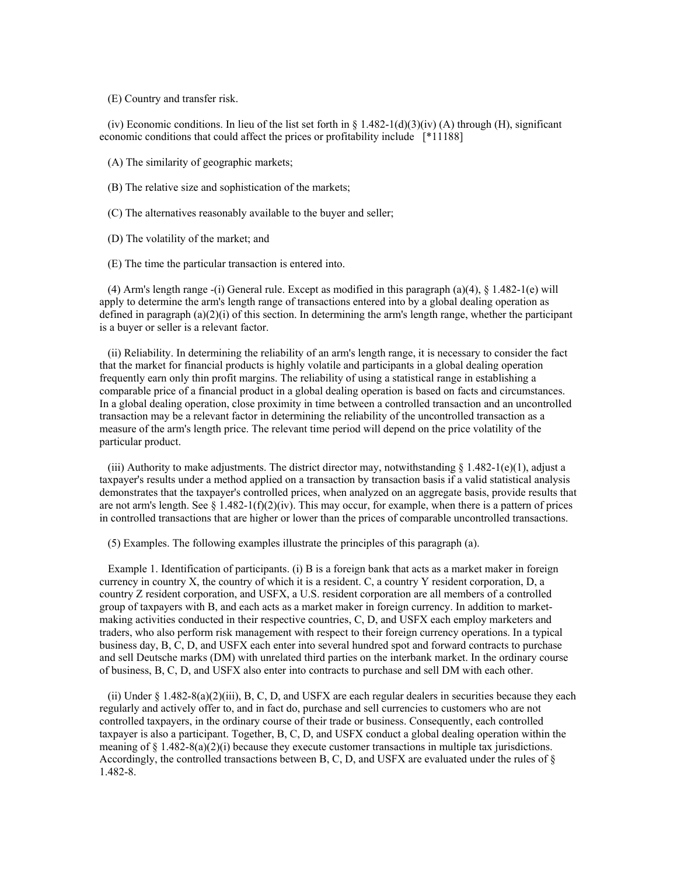(E) Country and transfer risk.

(iv) Economic conditions. In lieu of the list set forth in  $\S$  1.482-1(d)(3)(iv) (A) through (H), significant economic conditions that could affect the prices or profitability include [\*11188]

(A) The similarity of geographic markets;

- (B) The relative size and sophistication of the markets;
- (C) The alternatives reasonably available to the buyer and seller;
- (D) The volatility of the market; and
- (E) The time the particular transaction is entered into.

 (4) Arm's length range -(i) General rule. Except as modified in this paragraph (a)(4), § 1.482-1(e) will apply to determine the arm's length range of transactions entered into by a global dealing operation as defined in paragraph  $(a)(2)(i)$  of this section. In determining the arm's length range, whether the participant is a buyer or seller is a relevant factor.

 (ii) Reliability. In determining the reliability of an arm's length range, it is necessary to consider the fact that the market for financial products is highly volatile and participants in a global dealing operation frequently earn only thin profit margins. The reliability of using a statistical range in establishing a comparable price of a financial product in a global dealing operation is based on facts and circumstances. In a global dealing operation, close proximity in time between a controlled transaction and an uncontrolled transaction may be a relevant factor in determining the reliability of the uncontrolled transaction as a measure of the arm's length price. The relevant time period will depend on the price volatility of the particular product.

(iii) Authority to make adjustments. The district director may, notwithstanding  $\S$  1.482-1(e)(1), adjust a taxpayer's results under a method applied on a transaction by transaction basis if a valid statistical analysis demonstrates that the taxpayer's controlled prices, when analyzed on an aggregate basis, provide results that are not arm's length. See  $\S 1.482-1(f)(2)(iv)$ . This may occur, for example, when there is a pattern of prices in controlled transactions that are higher or lower than the prices of comparable uncontrolled transactions.

(5) Examples. The following examples illustrate the principles of this paragraph (a).

 Example 1. Identification of participants. (i) B is a foreign bank that acts as a market maker in foreign currency in country X, the country of which it is a resident. C, a country Y resident corporation, D, a country Z resident corporation, and USFX, a U.S. resident corporation are all members of a controlled group of taxpayers with B, and each acts as a market maker in foreign currency. In addition to marketmaking activities conducted in their respective countries, C, D, and USFX each employ marketers and traders, who also perform risk management with respect to their foreign currency operations. In a typical business day, B, C, D, and USFX each enter into several hundred spot and forward contracts to purchase and sell Deutsche marks (DM) with unrelated third parties on the interbank market. In the ordinary course of business, B, C, D, and USFX also enter into contracts to purchase and sell DM with each other.

(ii) Under  $\S$  1.482-8(a)(2)(iii), B, C, D, and USFX are each regular dealers in securities because they each regularly and actively offer to, and in fact do, purchase and sell currencies to customers who are not controlled taxpayers, in the ordinary course of their trade or business. Consequently, each controlled taxpayer is also a participant. Together, B, C, D, and USFX conduct a global dealing operation within the meaning of § 1.482-8(a)(2)(i) because they execute customer transactions in multiple tax jurisdictions. Accordingly, the controlled transactions between B, C, D, and USFX are evaluated under the rules of § 1.482-8.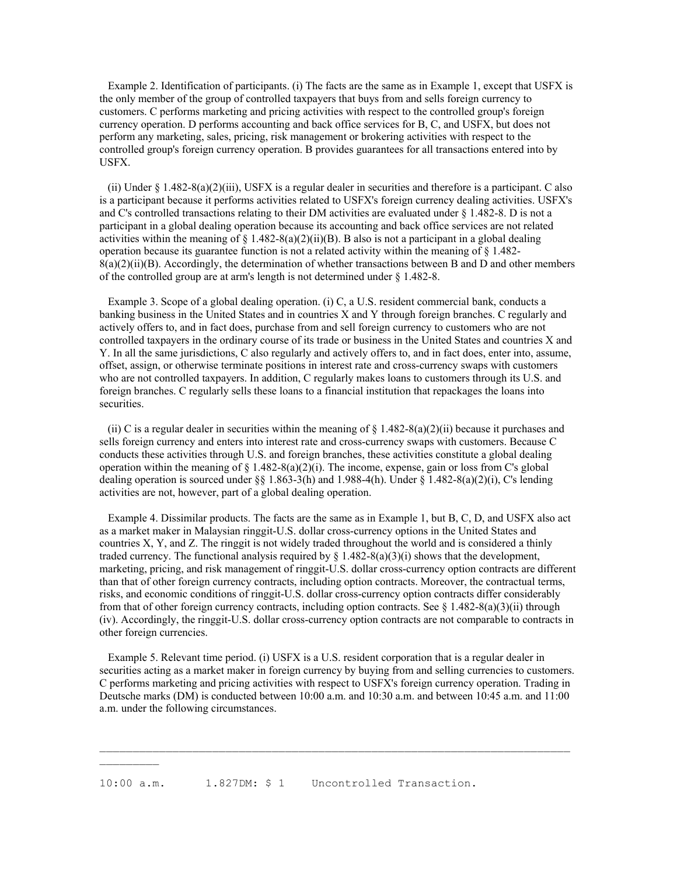Example 2. Identification of participants. (i) The facts are the same as in Example 1, except that USFX is the only member of the group of controlled taxpayers that buys from and sells foreign currency to customers. C performs marketing and pricing activities with respect to the controlled group's foreign currency operation. D performs accounting and back office services for B, C, and USFX, but does not perform any marketing, sales, pricing, risk management or brokering activities with respect to the controlled group's foreign currency operation. B provides guarantees for all transactions entered into by USFX.

 (ii) Under § 1.482-8(a)(2)(iii), USFX is a regular dealer in securities and therefore is a participant. C also is a participant because it performs activities related to USFX's foreign currency dealing activities. USFX's and C's controlled transactions relating to their DM activities are evaluated under  $\S 1.482-8$ . D is not a participant in a global dealing operation because its accounting and back office services are not related activities within the meaning of § 1.482-8(a)(2)(ii)(B). B also is not a participant in a global dealing operation because its guarantee function is not a related activity within the meaning of  $\S$  1.482- $8(a)(2)(ii)(B)$ . Accordingly, the determination of whether transactions between B and D and other members of the controlled group are at arm's length is not determined under § 1.482-8.

 Example 3. Scope of a global dealing operation. (i) C, a U.S. resident commercial bank, conducts a banking business in the United States and in countries X and Y through foreign branches. C regularly and actively offers to, and in fact does, purchase from and sell foreign currency to customers who are not controlled taxpayers in the ordinary course of its trade or business in the United States and countries X and Y. In all the same jurisdictions, C also regularly and actively offers to, and in fact does, enter into, assume, offset, assign, or otherwise terminate positions in interest rate and cross-currency swaps with customers who are not controlled taxpayers. In addition, C regularly makes loans to customers through its U.S. and foreign branches. C regularly sells these loans to a financial institution that repackages the loans into securities.

(ii) C is a regular dealer in securities within the meaning of  $\S 1.482-8(a)(2)(ii)$  because it purchases and sells foreign currency and enters into interest rate and cross-currency swaps with customers. Because C conducts these activities through U.S. and foreign branches, these activities constitute a global dealing operation within the meaning of  $\S 1.482-8(a)(2)(i)$ . The income, expense, gain or loss from C's global dealing operation is sourced under §§ 1.863-3(h) and 1.988-4(h). Under § 1.482-8(a)(2)(i), C's lending activities are not, however, part of a global dealing operation.

 Example 4. Dissimilar products. The facts are the same as in Example 1, but B, C, D, and USFX also act as a market maker in Malaysian ringgit-U.S. dollar cross-currency options in the United States and countries X, Y, and Z. The ringgit is not widely traded throughout the world and is considered a thinly traded currency. The functional analysis required by  $\S$  1.482-8(a)(3)(i) shows that the development, marketing, pricing, and risk management of ringgit-U.S. dollar cross-currency option contracts are different than that of other foreign currency contracts, including option contracts. Moreover, the contractual terms, risks, and economic conditions of ringgit-U.S. dollar cross-currency option contracts differ considerably from that of other foreign currency contracts, including option contracts. See  $\S$  1.482-8(a)(3)(ii) through (iv). Accordingly, the ringgit-U.S. dollar cross-currency option contracts are not comparable to contracts in other foreign currencies.

 Example 5. Relevant time period. (i) USFX is a U.S. resident corporation that is a regular dealer in securities acting as a market maker in foreign currency by buying from and selling currencies to customers. C performs marketing and pricing activities with respect to USFX's foreign currency operation. Trading in Deutsche marks (DM) is conducted between 10:00 a.m. and 10:30 a.m. and between 10:45 a.m. and 11:00 a.m. under the following circumstances.

 $\mathcal{L}_\text{max}$ 

10:00 a.m. 1.827DM: \$ 1 Uncontrolled Transaction.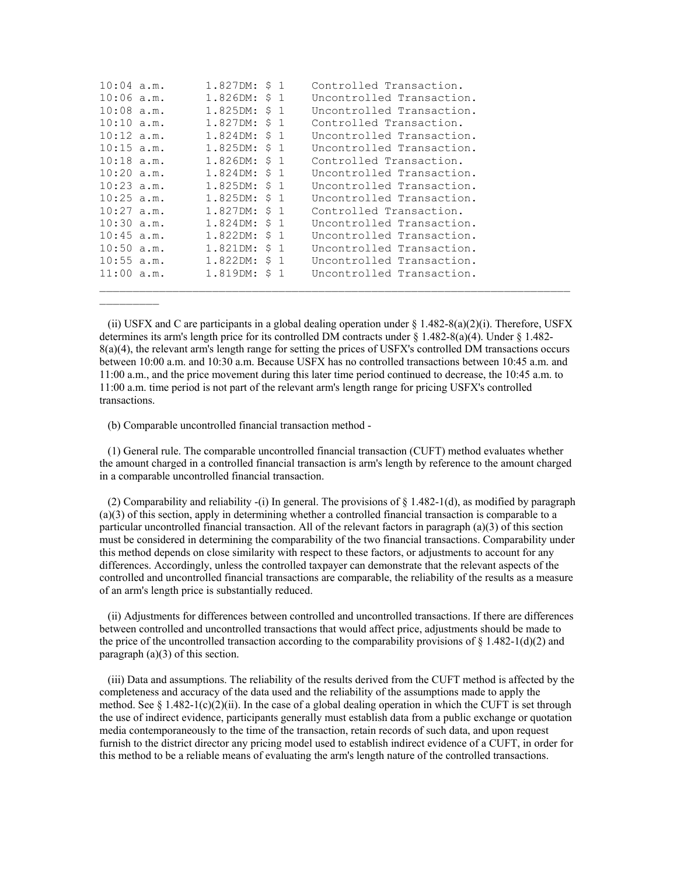| $10:04$ a.m. | 1.827DM: \$1  |  | Controlled Transaction.   |
|--------------|---------------|--|---------------------------|
| $10:06$ a.m. | 1.826DM: \$ 1 |  | Uncontrolled Transaction. |
| $10:08$ a.m. | 1.825DM: \$ 1 |  | Uncontrolled Transaction. |
| $10:10$ a.m. | 1.827DM: \$ 1 |  | Controlled Transaction.   |
| $10:12$ a.m. | 1.824DM: \$ 1 |  | Uncontrolled Transaction. |
| $10:15$ a.m. | 1.825DM: \$ 1 |  | Uncontrolled Transaction. |
| $10:18$ a.m. | 1.826DM: \$ 1 |  | Controlled Transaction.   |
| $10:20$ a.m. | 1.824DM: \$ 1 |  | Uncontrolled Transaction. |
| $10:23$ a.m. | 1.825DM: \$ 1 |  | Uncontrolled Transaction. |
| $10:25$ a.m. | 1.825DM: \$1  |  | Uncontrolled Transaction. |
| $10:27$ a.m. | 1.827DM: \$ 1 |  | Controlled Transaction.   |
| $10:30$ a.m. | 1.824DM: \$ 1 |  | Uncontrolled Transaction. |
| $10:45$ a.m. | 1.822DM: \$ 1 |  | Uncontrolled Transaction. |
| $10:50$ a.m. | 1.821DM: \$ 1 |  | Uncontrolled Transaction. |
| $10:55$ a.m. | 1.822DM: \$ 1 |  | Uncontrolled Transaction. |
| $11:00$ a.m. | 1.819DM: \$ 1 |  | Uncontrolled Transaction. |
|              |               |  |                           |

(ii) USFX and C are participants in a global dealing operation under  $\S$  1.482-8(a)(2)(i). Therefore, USFX determines its arm's length price for its controlled DM contracts under  $\S$  1.482-8(a)(4). Under  $\S$  1.482-8(a)(4), the relevant arm's length range for setting the prices of USFX's controlled DM transactions occurs between 10:00 a.m. and 10:30 a.m. Because USFX has no controlled transactions between 10:45 a.m. and 11:00 a.m., and the price movement during this later time period continued to decrease, the 10:45 a.m. to 11:00 a.m. time period is not part of the relevant arm's length range for pricing USFX's controlled transactions.

(b) Comparable uncontrolled financial transaction method -

 $\frac{1}{2}$  ,  $\frac{1}{2}$  ,  $\frac{1}{2}$  ,  $\frac{1}{2}$  ,  $\frac{1}{2}$  ,  $\frac{1}{2}$ 

 (1) General rule. The comparable uncontrolled financial transaction (CUFT) method evaluates whether the amount charged in a controlled financial transaction is arm's length by reference to the amount charged in a comparable uncontrolled financial transaction.

(2) Comparability and reliability -(i) In general. The provisions of  $\S$  1.482-1(d), as modified by paragraph (a)(3) of this section, apply in determining whether a controlled financial transaction is comparable to a particular uncontrolled financial transaction. All of the relevant factors in paragraph (a)(3) of this section must be considered in determining the comparability of the two financial transactions. Comparability under this method depends on close similarity with respect to these factors, or adjustments to account for any differences. Accordingly, unless the controlled taxpayer can demonstrate that the relevant aspects of the controlled and uncontrolled financial transactions are comparable, the reliability of the results as a measure of an arm's length price is substantially reduced.

 (ii) Adjustments for differences between controlled and uncontrolled transactions. If there are differences between controlled and uncontrolled transactions that would affect price, adjustments should be made to the price of the uncontrolled transaction according to the comparability provisions of  $\S 1.482-1(d)(2)$  and paragraph (a)(3) of this section.

 (iii) Data and assumptions. The reliability of the results derived from the CUFT method is affected by the completeness and accuracy of the data used and the reliability of the assumptions made to apply the method. See § 1.482-1(c)(2)(ii). In the case of a global dealing operation in which the CUFT is set through the use of indirect evidence, participants generally must establish data from a public exchange or quotation media contemporaneously to the time of the transaction, retain records of such data, and upon request furnish to the district director any pricing model used to establish indirect evidence of a CUFT, in order for this method to be a reliable means of evaluating the arm's length nature of the controlled transactions.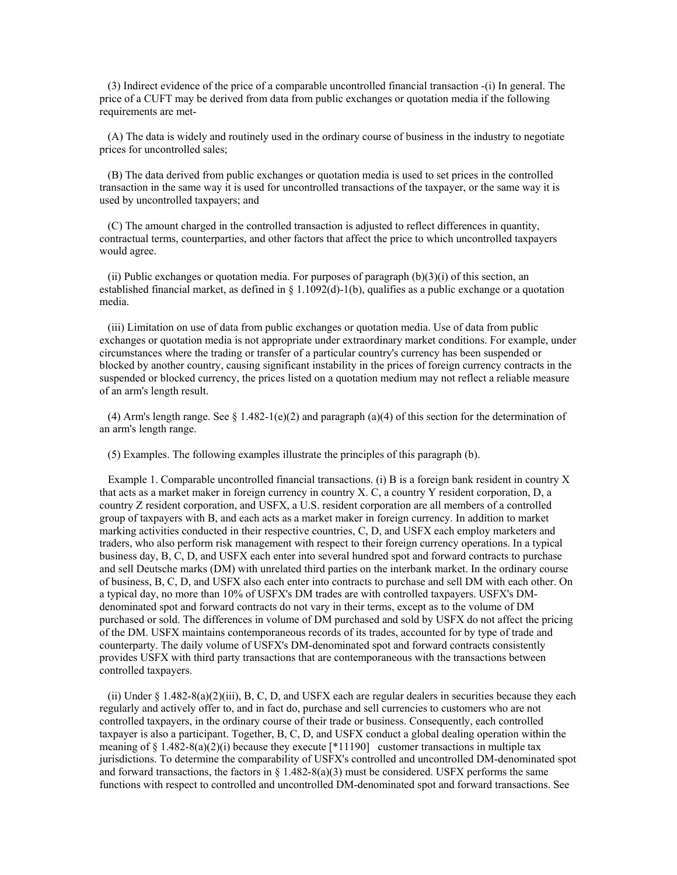(3) Indirect evidence of the price of a comparable uncontrolled financial transaction -(i) In general. The price of a CUFT may be derived from data from public exchanges or quotation media if the following requirements are met-

 (A) The data is widely and routinely used in the ordinary course of business in the industry to negotiate prices for uncontrolled sales;

 (B) The data derived from public exchanges or quotation media is used to set prices in the controlled transaction in the same way it is used for uncontrolled transactions of the taxpayer, or the same way it is used by uncontrolled taxpayers; and

 (C) The amount charged in the controlled transaction is adjusted to reflect differences in quantity, contractual terms, counterparties, and other factors that affect the price to which uncontrolled taxpayers would agree.

(ii) Public exchanges or quotation media. For purposes of paragraph  $(b)(3)(i)$  of this section, an established financial market, as defined in § 1.1092(d)-1(b), qualifies as a public exchange or a quotation media.

 (iii) Limitation on use of data from public exchanges or quotation media. Use of data from public exchanges or quotation media is not appropriate under extraordinary market conditions. For example, under circumstances where the trading or transfer of a particular country's currency has been suspended or blocked by another country, causing significant instability in the prices of foreign currency contracts in the suspended or blocked currency, the prices listed on a quotation medium may not reflect a reliable measure of an arm's length result.

(4) Arm's length range. See  $\S 1.482-1(e)(2)$  and paragraph (a)(4) of this section for the determination of an arm's length range.

(5) Examples. The following examples illustrate the principles of this paragraph (b).

 Example 1. Comparable uncontrolled financial transactions. (i) B is a foreign bank resident in country X that acts as a market maker in foreign currency in country X. C, a country Y resident corporation, D, a country Z resident corporation, and USFX, a U.S. resident corporation are all members of a controlled group of taxpayers with B, and each acts as a market maker in foreign currency. In addition to market marking activities conducted in their respective countries, C, D, and USFX each employ marketers and traders, who also perform risk management with respect to their foreign currency operations. In a typical business day, B, C, D, and USFX each enter into several hundred spot and forward contracts to purchase and sell Deutsche marks (DM) with unrelated third parties on the interbank market. In the ordinary course of business, B, C, D, and USFX also each enter into contracts to purchase and sell DM with each other. On a typical day, no more than 10% of USFX's DM trades are with controlled taxpayers. USFX's DMdenominated spot and forward contracts do not vary in their terms, except as to the volume of DM purchased or sold. The differences in volume of DM purchased and sold by USFX do not affect the pricing of the DM. USFX maintains contemporaneous records of its trades, accounted for by type of trade and counterparty. The daily volume of USFX's DM-denominated spot and forward contracts consistently provides USFX with third party transactions that are contemporaneous with the transactions between controlled taxpayers.

(ii) Under  $\S$  1.482-8(a)(2)(iii), B, C, D, and USFX each are regular dealers in securities because they each regularly and actively offer to, and in fact do, purchase and sell currencies to customers who are not controlled taxpayers, in the ordinary course of their trade or business. Consequently, each controlled taxpayer is also a participant. Together, B, C, D, and USFX conduct a global dealing operation within the meaning of § 1.482-8(a)(2)(i) because they execute [\*11190] customer transactions in multiple tax jurisdictions. To determine the comparability of USFX's controlled and uncontrolled DM-denominated spot and forward transactions, the factors in  $\S$  1.482-8(a)(3) must be considered. USFX performs the same functions with respect to controlled and uncontrolled DM-denominated spot and forward transactions. See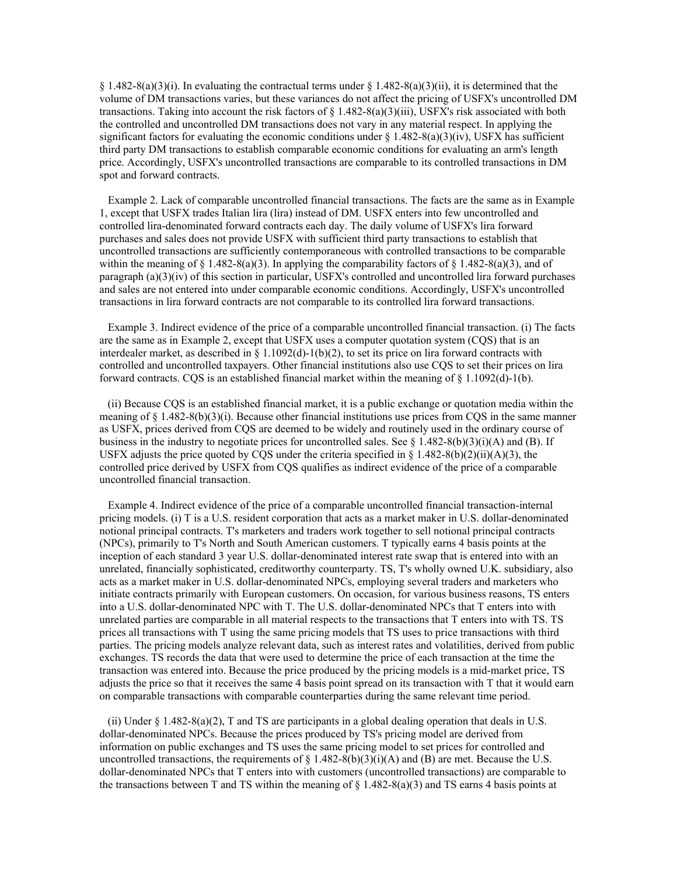§ 1.482-8(a)(3)(i). In evaluating the contractual terms under § 1.482-8(a)(3)(ii), it is determined that the volume of DM transactions varies, but these variances do not affect the pricing of USFX's uncontrolled DM transactions. Taking into account the risk factors of  $\S 1.482-8(a)(3)(iii)$ , USFX's risk associated with both the controlled and uncontrolled DM transactions does not vary in any material respect. In applying the significant factors for evaluating the economic conditions under  $\S 1.482-8(a)(3)(iv)$ , USFX has sufficient third party DM transactions to establish comparable economic conditions for evaluating an arm's length price. Accordingly, USFX's uncontrolled transactions are comparable to its controlled transactions in DM spot and forward contracts.

 Example 2. Lack of comparable uncontrolled financial transactions. The facts are the same as in Example 1, except that USFX trades Italian lira (lira) instead of DM. USFX enters into few uncontrolled and controlled lira-denominated forward contracts each day. The daily volume of USFX's lira forward purchases and sales does not provide USFX with sufficient third party transactions to establish that uncontrolled transactions are sufficiently contemporaneous with controlled transactions to be comparable within the meaning of § 1.482-8(a)(3). In applying the comparability factors of § 1.482-8(a)(3), and of paragraph (a)(3)(iv) of this section in particular, USFX's controlled and uncontrolled lira forward purchases and sales are not entered into under comparable economic conditions. Accordingly, USFX's uncontrolled transactions in lira forward contracts are not comparable to its controlled lira forward transactions.

 Example 3. Indirect evidence of the price of a comparable uncontrolled financial transaction. (i) The facts are the same as in Example 2, except that USFX uses a computer quotation system (CQS) that is an interdealer market, as described in §  $1.1092(d)-1(b)(2)$ , to set its price on lira forward contracts with controlled and uncontrolled taxpayers. Other financial institutions also use CQS to set their prices on lira forward contracts. CQS is an established financial market within the meaning of  $\S 1.1092(d) - 1(b)$ .

 (ii) Because CQS is an established financial market, it is a public exchange or quotation media within the meaning of  $\S$  1.482-8(b)(3)(i). Because other financial institutions use prices from CQS in the same manner as USFX, prices derived from CQS are deemed to be widely and routinely used in the ordinary course of business in the industry to negotiate prices for uncontrolled sales. See  $\S 1.482-8(b)(3)(i)(A)$  and (B). If USFX adjusts the price quoted by CQS under the criteria specified in  $\S$  1.482-8(b)(2)(ii)(A)(3), the controlled price derived by USFX from CQS qualifies as indirect evidence of the price of a comparable uncontrolled financial transaction.

 Example 4. Indirect evidence of the price of a comparable uncontrolled financial transaction-internal pricing models. (i) T is a U.S. resident corporation that acts as a market maker in U.S. dollar-denominated notional principal contracts. T's marketers and traders work together to sell notional principal contracts (NPCs), primarily to T's North and South American customers. T typically earns 4 basis points at the inception of each standard 3 year U.S. dollar-denominated interest rate swap that is entered into with an unrelated, financially sophisticated, creditworthy counterparty. TS, T's wholly owned U.K. subsidiary, also acts as a market maker in U.S. dollar-denominated NPCs, employing several traders and marketers who initiate contracts primarily with European customers. On occasion, for various business reasons, TS enters into a U.S. dollar-denominated NPC with T. The U.S. dollar-denominated NPCs that T enters into with unrelated parties are comparable in all material respects to the transactions that T enters into with TS. TS prices all transactions with T using the same pricing models that TS uses to price transactions with third parties. The pricing models analyze relevant data, such as interest rates and volatilities, derived from public exchanges. TS records the data that were used to determine the price of each transaction at the time the transaction was entered into. Because the price produced by the pricing models is a mid-market price, TS adjusts the price so that it receives the same 4 basis point spread on its transaction with T that it would earn on comparable transactions with comparable counterparties during the same relevant time period.

 (ii) Under § 1.482-8(a)(2), T and TS are participants in a global dealing operation that deals in U.S. dollar-denominated NPCs. Because the prices produced by TS's pricing model are derived from information on public exchanges and TS uses the same pricing model to set prices for controlled and uncontrolled transactions, the requirements of  $\S$  1.482-8(b)(3)(i)(A) and (B) are met. Because the U.S. dollar-denominated NPCs that T enters into with customers (uncontrolled transactions) are comparable to the transactions between T and TS within the meaning of  $\S$  1.482-8(a)(3) and TS earns 4 basis points at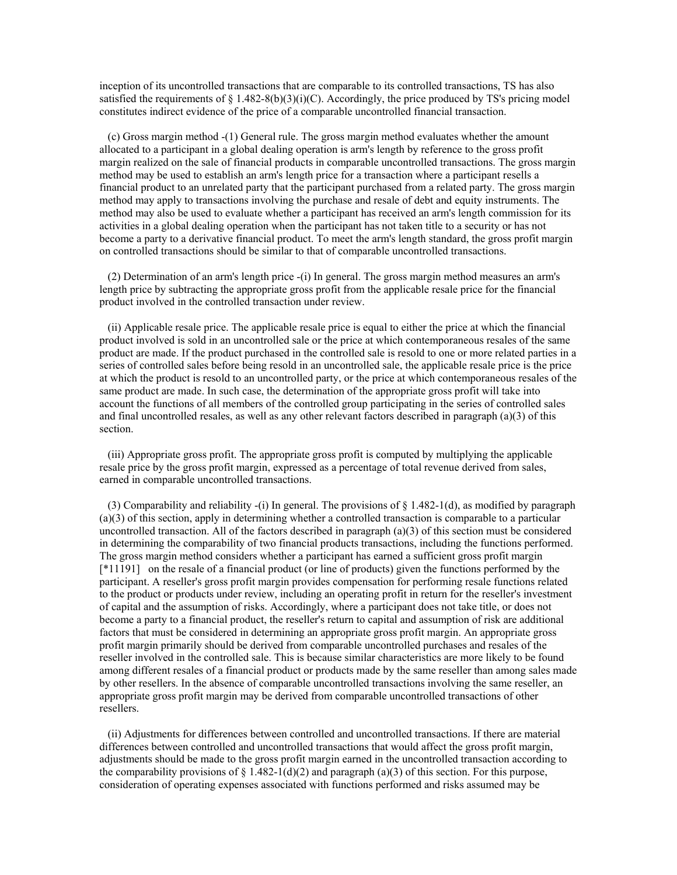inception of its uncontrolled transactions that are comparable to its controlled transactions, TS has also satisfied the requirements of  $\S$  1.482-8(b)(3)(i)(C). Accordingly, the price produced by TS's pricing model constitutes indirect evidence of the price of a comparable uncontrolled financial transaction.

 (c) Gross margin method -(1) General rule. The gross margin method evaluates whether the amount allocated to a participant in a global dealing operation is arm's length by reference to the gross profit margin realized on the sale of financial products in comparable uncontrolled transactions. The gross margin method may be used to establish an arm's length price for a transaction where a participant resells a financial product to an unrelated party that the participant purchased from a related party. The gross margin method may apply to transactions involving the purchase and resale of debt and equity instruments. The method may also be used to evaluate whether a participant has received an arm's length commission for its activities in a global dealing operation when the participant has not taken title to a security or has not become a party to a derivative financial product. To meet the arm's length standard, the gross profit margin on controlled transactions should be similar to that of comparable uncontrolled transactions.

 (2) Determination of an arm's length price -(i) In general. The gross margin method measures an arm's length price by subtracting the appropriate gross profit from the applicable resale price for the financial product involved in the controlled transaction under review.

 (ii) Applicable resale price. The applicable resale price is equal to either the price at which the financial product involved is sold in an uncontrolled sale or the price at which contemporaneous resales of the same product are made. If the product purchased in the controlled sale is resold to one or more related parties in a series of controlled sales before being resold in an uncontrolled sale, the applicable resale price is the price at which the product is resold to an uncontrolled party, or the price at which contemporaneous resales of the same product are made. In such case, the determination of the appropriate gross profit will take into account the functions of all members of the controlled group participating in the series of controlled sales and final uncontrolled resales, as well as any other relevant factors described in paragraph (a)(3) of this section.

 (iii) Appropriate gross profit. The appropriate gross profit is computed by multiplying the applicable resale price by the gross profit margin, expressed as a percentage of total revenue derived from sales, earned in comparable uncontrolled transactions.

(3) Comparability and reliability -(i) In general. The provisions of  $\S 1.482-1(d)$ , as modified by paragraph (a)(3) of this section, apply in determining whether a controlled transaction is comparable to a particular uncontrolled transaction. All of the factors described in paragraph (a)(3) of this section must be considered in determining the comparability of two financial products transactions, including the functions performed. The gross margin method considers whether a participant has earned a sufficient gross profit margin [\*11191] on the resale of a financial product (or line of products) given the functions performed by the participant. A reseller's gross profit margin provides compensation for performing resale functions related to the product or products under review, including an operating profit in return for the reseller's investment of capital and the assumption of risks. Accordingly, where a participant does not take title, or does not become a party to a financial product, the reseller's return to capital and assumption of risk are additional factors that must be considered in determining an appropriate gross profit margin. An appropriate gross profit margin primarily should be derived from comparable uncontrolled purchases and resales of the reseller involved in the controlled sale. This is because similar characteristics are more likely to be found among different resales of a financial product or products made by the same reseller than among sales made by other resellers. In the absence of comparable uncontrolled transactions involving the same reseller, an appropriate gross profit margin may be derived from comparable uncontrolled transactions of other resellers.

 (ii) Adjustments for differences between controlled and uncontrolled transactions. If there are material differences between controlled and uncontrolled transactions that would affect the gross profit margin, adjustments should be made to the gross profit margin earned in the uncontrolled transaction according to the comparability provisions of  $\S$  1.482-1(d)(2) and paragraph (a)(3) of this section. For this purpose, consideration of operating expenses associated with functions performed and risks assumed may be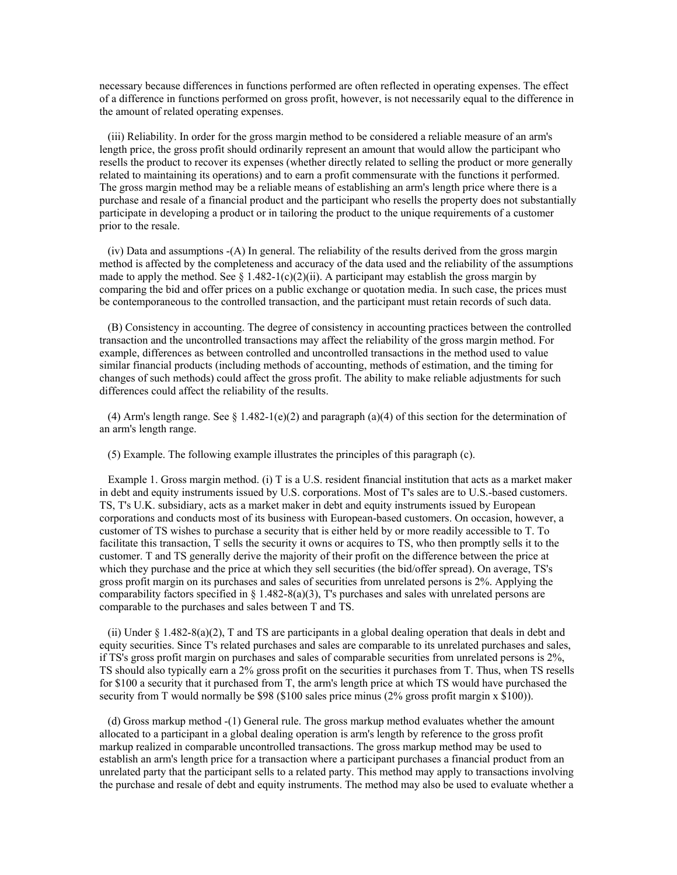necessary because differences in functions performed are often reflected in operating expenses. The effect of a difference in functions performed on gross profit, however, is not necessarily equal to the difference in the amount of related operating expenses.

 (iii) Reliability. In order for the gross margin method to be considered a reliable measure of an arm's length price, the gross profit should ordinarily represent an amount that would allow the participant who resells the product to recover its expenses (whether directly related to selling the product or more generally related to maintaining its operations) and to earn a profit commensurate with the functions it performed. The gross margin method may be a reliable means of establishing an arm's length price where there is a purchase and resale of a financial product and the participant who resells the property does not substantially participate in developing a product or in tailoring the product to the unique requirements of a customer prior to the resale.

 (iv) Data and assumptions -(A) In general. The reliability of the results derived from the gross margin method is affected by the completeness and accuracy of the data used and the reliability of the assumptions made to apply the method. See  $\S$  1.482-1(c)(2)(ii). A participant may establish the gross margin by comparing the bid and offer prices on a public exchange or quotation media. In such case, the prices must be contemporaneous to the controlled transaction, and the participant must retain records of such data.

 (B) Consistency in accounting. The degree of consistency in accounting practices between the controlled transaction and the uncontrolled transactions may affect the reliability of the gross margin method. For example, differences as between controlled and uncontrolled transactions in the method used to value similar financial products (including methods of accounting, methods of estimation, and the timing for changes of such methods) could affect the gross profit. The ability to make reliable adjustments for such differences could affect the reliability of the results.

(4) Arm's length range. See  $\S 1.482-1(e)(2)$  and paragraph (a)(4) of this section for the determination of an arm's length range.

(5) Example. The following example illustrates the principles of this paragraph (c).

 Example 1. Gross margin method. (i) T is a U.S. resident financial institution that acts as a market maker in debt and equity instruments issued by U.S. corporations. Most of T's sales are to U.S.-based customers. TS, T's U.K. subsidiary, acts as a market maker in debt and equity instruments issued by European corporations and conducts most of its business with European-based customers. On occasion, however, a customer of TS wishes to purchase a security that is either held by or more readily accessible to T. To facilitate this transaction, T sells the security it owns or acquires to TS, who then promptly sells it to the customer. T and TS generally derive the majority of their profit on the difference between the price at which they purchase and the price at which they sell securities (the bid/offer spread). On average, TS's gross profit margin on its purchases and sales of securities from unrelated persons is 2%. Applying the comparability factors specified in § 1.482-8(a)(3), T's purchases and sales with unrelated persons are comparable to the purchases and sales between T and TS.

 (ii) Under § 1.482-8(a)(2), T and TS are participants in a global dealing operation that deals in debt and equity securities. Since T's related purchases and sales are comparable to its unrelated purchases and sales, if TS's gross profit margin on purchases and sales of comparable securities from unrelated persons is 2%, TS should also typically earn a 2% gross profit on the securities it purchases from T. Thus, when TS resells for \$100 a security that it purchased from T, the arm's length price at which TS would have purchased the security from T would normally be \$98 (\$100 sales price minus (2% gross profit margin x \$100)).

 (d) Gross markup method -(1) General rule. The gross markup method evaluates whether the amount allocated to a participant in a global dealing operation is arm's length by reference to the gross profit markup realized in comparable uncontrolled transactions. The gross markup method may be used to establish an arm's length price for a transaction where a participant purchases a financial product from an unrelated party that the participant sells to a related party. This method may apply to transactions involving the purchase and resale of debt and equity instruments. The method may also be used to evaluate whether a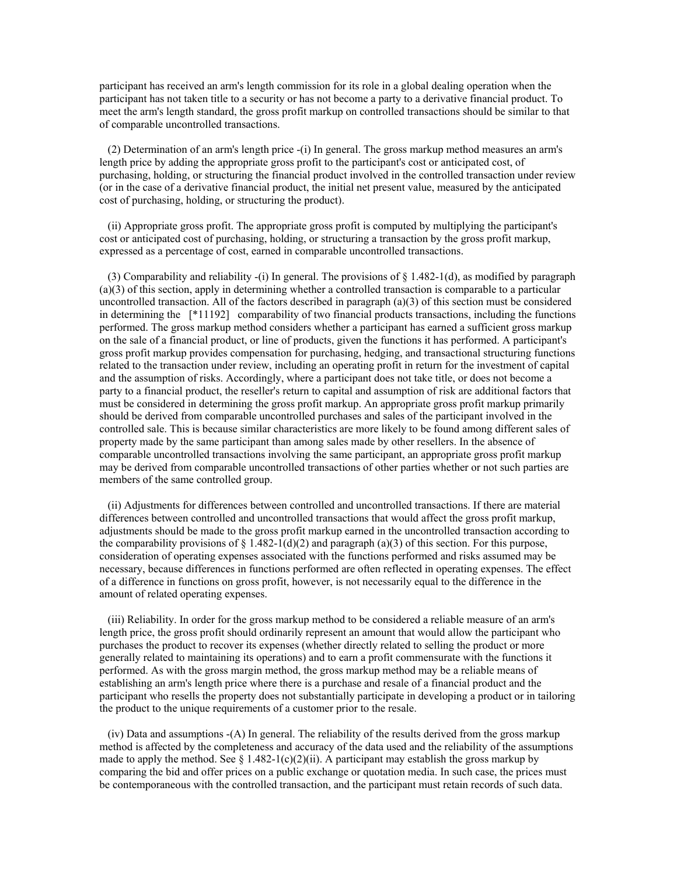participant has received an arm's length commission for its role in a global dealing operation when the participant has not taken title to a security or has not become a party to a derivative financial product. To meet the arm's length standard, the gross profit markup on controlled transactions should be similar to that of comparable uncontrolled transactions.

 (2) Determination of an arm's length price -(i) In general. The gross markup method measures an arm's length price by adding the appropriate gross profit to the participant's cost or anticipated cost, of purchasing, holding, or structuring the financial product involved in the controlled transaction under review (or in the case of a derivative financial product, the initial net present value, measured by the anticipated cost of purchasing, holding, or structuring the product).

 (ii) Appropriate gross profit. The appropriate gross profit is computed by multiplying the participant's cost or anticipated cost of purchasing, holding, or structuring a transaction by the gross profit markup, expressed as a percentage of cost, earned in comparable uncontrolled transactions.

(3) Comparability and reliability -(i) In general. The provisions of  $\S$  1.482-1(d), as modified by paragraph (a)(3) of this section, apply in determining whether a controlled transaction is comparable to a particular uncontrolled transaction. All of the factors described in paragraph  $(a)(3)$  of this section must be considered in determining the [\*11192] comparability of two financial products transactions, including the functions performed. The gross markup method considers whether a participant has earned a sufficient gross markup on the sale of a financial product, or line of products, given the functions it has performed. A participant's gross profit markup provides compensation for purchasing, hedging, and transactional structuring functions related to the transaction under review, including an operating profit in return for the investment of capital and the assumption of risks. Accordingly, where a participant does not take title, or does not become a party to a financial product, the reseller's return to capital and assumption of risk are additional factors that must be considered in determining the gross profit markup. An appropriate gross profit markup primarily should be derived from comparable uncontrolled purchases and sales of the participant involved in the controlled sale. This is because similar characteristics are more likely to be found among different sales of property made by the same participant than among sales made by other resellers. In the absence of comparable uncontrolled transactions involving the same participant, an appropriate gross profit markup may be derived from comparable uncontrolled transactions of other parties whether or not such parties are members of the same controlled group.

 (ii) Adjustments for differences between controlled and uncontrolled transactions. If there are material differences between controlled and uncontrolled transactions that would affect the gross profit markup, adjustments should be made to the gross profit markup earned in the uncontrolled transaction according to the comparability provisions of  $\S 1.482-1(d)(2)$  and paragraph (a)(3) of this section. For this purpose, consideration of operating expenses associated with the functions performed and risks assumed may be necessary, because differences in functions performed are often reflected in operating expenses. The effect of a difference in functions on gross profit, however, is not necessarily equal to the difference in the amount of related operating expenses.

 (iii) Reliability. In order for the gross markup method to be considered a reliable measure of an arm's length price, the gross profit should ordinarily represent an amount that would allow the participant who purchases the product to recover its expenses (whether directly related to selling the product or more generally related to maintaining its operations) and to earn a profit commensurate with the functions it performed. As with the gross margin method, the gross markup method may be a reliable means of establishing an arm's length price where there is a purchase and resale of a financial product and the participant who resells the property does not substantially participate in developing a product or in tailoring the product to the unique requirements of a customer prior to the resale.

 (iv) Data and assumptions -(A) In general. The reliability of the results derived from the gross markup method is affected by the completeness and accuracy of the data used and the reliability of the assumptions made to apply the method. See  $\S$  1.482-1(c)(2)(ii). A participant may establish the gross markup by comparing the bid and offer prices on a public exchange or quotation media. In such case, the prices must be contemporaneous with the controlled transaction, and the participant must retain records of such data.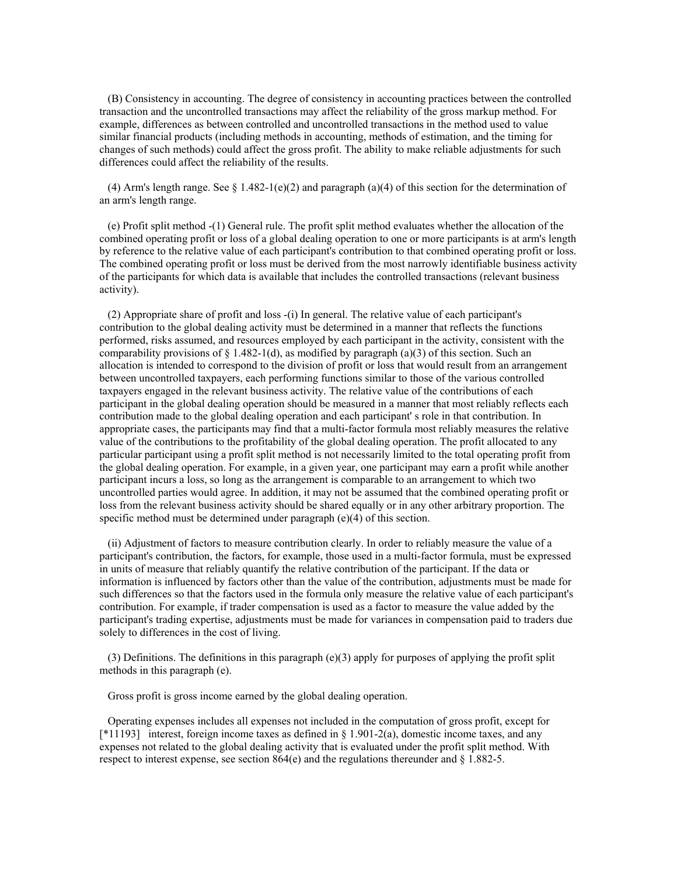(B) Consistency in accounting. The degree of consistency in accounting practices between the controlled transaction and the uncontrolled transactions may affect the reliability of the gross markup method. For example, differences as between controlled and uncontrolled transactions in the method used to value similar financial products (including methods in accounting, methods of estimation, and the timing for changes of such methods) could affect the gross profit. The ability to make reliable adjustments for such differences could affect the reliability of the results.

(4) Arm's length range. See § 1.482-1(e)(2) and paragraph (a)(4) of this section for the determination of an arm's length range.

 (e) Profit split method -(1) General rule. The profit split method evaluates whether the allocation of the combined operating profit or loss of a global dealing operation to one or more participants is at arm's length by reference to the relative value of each participant's contribution to that combined operating profit or loss. The combined operating profit or loss must be derived from the most narrowly identifiable business activity of the participants for which data is available that includes the controlled transactions (relevant business activity).

 (2) Appropriate share of profit and loss -(i) In general. The relative value of each participant's contribution to the global dealing activity must be determined in a manner that reflects the functions performed, risks assumed, and resources employed by each participant in the activity, consistent with the comparability provisions of  $\S 1.482-1(d)$ , as modified by paragraph (a)(3) of this section. Such an allocation is intended to correspond to the division of profit or loss that would result from an arrangement between uncontrolled taxpayers, each performing functions similar to those of the various controlled taxpayers engaged in the relevant business activity. The relative value of the contributions of each participant in the global dealing operation should be measured in a manner that most reliably reflects each contribution made to the global dealing operation and each participant' s role in that contribution. In appropriate cases, the participants may find that a multi-factor formula most reliably measures the relative value of the contributions to the profitability of the global dealing operation. The profit allocated to any particular participant using a profit split method is not necessarily limited to the total operating profit from the global dealing operation. For example, in a given year, one participant may earn a profit while another participant incurs a loss, so long as the arrangement is comparable to an arrangement to which two uncontrolled parties would agree. In addition, it may not be assumed that the combined operating profit or loss from the relevant business activity should be shared equally or in any other arbitrary proportion. The specific method must be determined under paragraph (e)(4) of this section.

 (ii) Adjustment of factors to measure contribution clearly. In order to reliably measure the value of a participant's contribution, the factors, for example, those used in a multi-factor formula, must be expressed in units of measure that reliably quantify the relative contribution of the participant. If the data or information is influenced by factors other than the value of the contribution, adjustments must be made for such differences so that the factors used in the formula only measure the relative value of each participant's contribution. For example, if trader compensation is used as a factor to measure the value added by the participant's trading expertise, adjustments must be made for variances in compensation paid to traders due solely to differences in the cost of living.

 (3) Definitions. The definitions in this paragraph (e)(3) apply for purposes of applying the profit split methods in this paragraph (e).

Gross profit is gross income earned by the global dealing operation.

 Operating expenses includes all expenses not included in the computation of gross profit, except for [\*11193] interest, foreign income taxes as defined in § 1.901-2(a), domestic income taxes, and any expenses not related to the global dealing activity that is evaluated under the profit split method. With respect to interest expense, see section 864(e) and the regulations thereunder and § 1.882-5.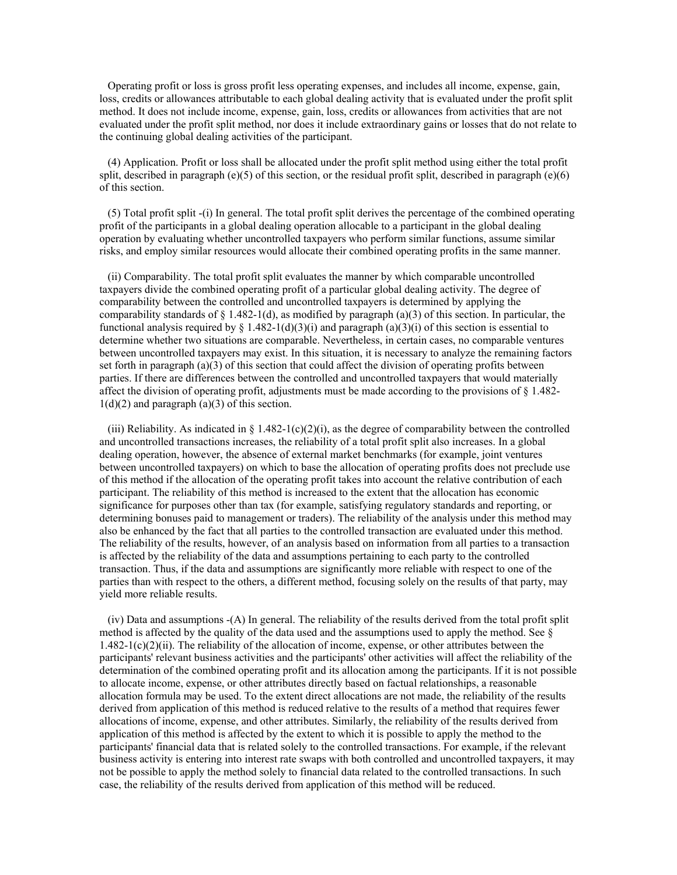Operating profit or loss is gross profit less operating expenses, and includes all income, expense, gain, loss, credits or allowances attributable to each global dealing activity that is evaluated under the profit split method. It does not include income, expense, gain, loss, credits or allowances from activities that are not evaluated under the profit split method, nor does it include extraordinary gains or losses that do not relate to the continuing global dealing activities of the participant.

 (4) Application. Profit or loss shall be allocated under the profit split method using either the total profit split, described in paragraph (e)(5) of this section, or the residual profit split, described in paragraph (e)(6) of this section.

 (5) Total profit split -(i) In general. The total profit split derives the percentage of the combined operating profit of the participants in a global dealing operation allocable to a participant in the global dealing operation by evaluating whether uncontrolled taxpayers who perform similar functions, assume similar risks, and employ similar resources would allocate their combined operating profits in the same manner.

 (ii) Comparability. The total profit split evaluates the manner by which comparable uncontrolled taxpayers divide the combined operating profit of a particular global dealing activity. The degree of comparability between the controlled and uncontrolled taxpayers is determined by applying the comparability standards of  $\S 1.482-1(d)$ , as modified by paragraph (a)(3) of this section. In particular, the functional analysis required by § 1.482-1(d)(3)(i) and paragraph (a)(3)(i) of this section is essential to determine whether two situations are comparable. Nevertheless, in certain cases, no comparable ventures between uncontrolled taxpayers may exist. In this situation, it is necessary to analyze the remaining factors set forth in paragraph  $(a)(3)$  of this section that could affect the division of operating profits between parties. If there are differences between the controlled and uncontrolled taxpayers that would materially affect the division of operating profit, adjustments must be made according to the provisions of  $\S$  1.482- $1(d)(2)$  and paragraph  $(a)(3)$  of this section.

(iii) Reliability. As indicated in  $\S 1.482-1(c)(2)(i)$ , as the degree of comparability between the controlled and uncontrolled transactions increases, the reliability of a total profit split also increases. In a global dealing operation, however, the absence of external market benchmarks (for example, joint ventures between uncontrolled taxpayers) on which to base the allocation of operating profits does not preclude use of this method if the allocation of the operating profit takes into account the relative contribution of each participant. The reliability of this method is increased to the extent that the allocation has economic significance for purposes other than tax (for example, satisfying regulatory standards and reporting, or determining bonuses paid to management or traders). The reliability of the analysis under this method may also be enhanced by the fact that all parties to the controlled transaction are evaluated under this method. The reliability of the results, however, of an analysis based on information from all parties to a transaction is affected by the reliability of the data and assumptions pertaining to each party to the controlled transaction. Thus, if the data and assumptions are significantly more reliable with respect to one of the parties than with respect to the others, a different method, focusing solely on the results of that party, may yield more reliable results.

 (iv) Data and assumptions -(A) In general. The reliability of the results derived from the total profit split method is affected by the quality of the data used and the assumptions used to apply the method. See  $\S$  $1.482-1(c)(2)$ (ii). The reliability of the allocation of income, expense, or other attributes between the participants' relevant business activities and the participants' other activities will affect the reliability of the determination of the combined operating profit and its allocation among the participants. If it is not possible to allocate income, expense, or other attributes directly based on factual relationships, a reasonable allocation formula may be used. To the extent direct allocations are not made, the reliability of the results derived from application of this method is reduced relative to the results of a method that requires fewer allocations of income, expense, and other attributes. Similarly, the reliability of the results derived from application of this method is affected by the extent to which it is possible to apply the method to the participants' financial data that is related solely to the controlled transactions. For example, if the relevant business activity is entering into interest rate swaps with both controlled and uncontrolled taxpayers, it may not be possible to apply the method solely to financial data related to the controlled transactions. In such case, the reliability of the results derived from application of this method will be reduced.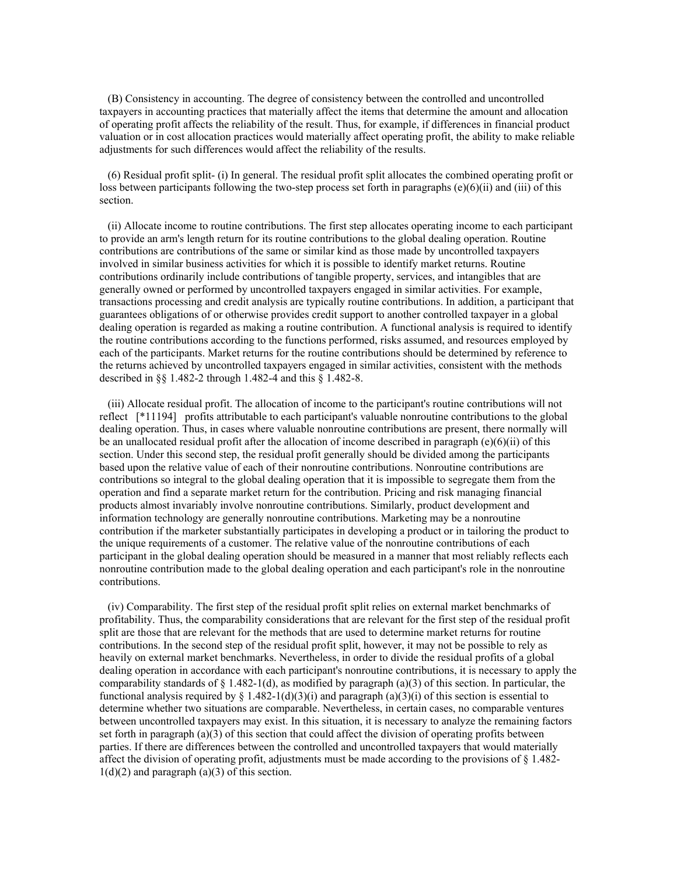(B) Consistency in accounting. The degree of consistency between the controlled and uncontrolled taxpayers in accounting practices that materially affect the items that determine the amount and allocation of operating profit affects the reliability of the result. Thus, for example, if differences in financial product valuation or in cost allocation practices would materially affect operating profit, the ability to make reliable adjustments for such differences would affect the reliability of the results.

 (6) Residual profit split- (i) In general. The residual profit split allocates the combined operating profit or loss between participants following the two-step process set forth in paragraphs (e)(6)(ii) and (iii) of this section.

 (ii) Allocate income to routine contributions. The first step allocates operating income to each participant to provide an arm's length return for its routine contributions to the global dealing operation. Routine contributions are contributions of the same or similar kind as those made by uncontrolled taxpayers involved in similar business activities for which it is possible to identify market returns. Routine contributions ordinarily include contributions of tangible property, services, and intangibles that are generally owned or performed by uncontrolled taxpayers engaged in similar activities. For example, transactions processing and credit analysis are typically routine contributions. In addition, a participant that guarantees obligations of or otherwise provides credit support to another controlled taxpayer in a global dealing operation is regarded as making a routine contribution. A functional analysis is required to identify the routine contributions according to the functions performed, risks assumed, and resources employed by each of the participants. Market returns for the routine contributions should be determined by reference to the returns achieved by uncontrolled taxpayers engaged in similar activities, consistent with the methods described in §§ 1.482-2 through 1.482-4 and this § 1.482-8.

 (iii) Allocate residual profit. The allocation of income to the participant's routine contributions will not reflect [\*11194] profits attributable to each participant's valuable nonroutine contributions to the global dealing operation. Thus, in cases where valuable nonroutine contributions are present, there normally will be an unallocated residual profit after the allocation of income described in paragraph  $(e)(6)(ii)$  of this section. Under this second step, the residual profit generally should be divided among the participants based upon the relative value of each of their nonroutine contributions. Nonroutine contributions are contributions so integral to the global dealing operation that it is impossible to segregate them from the operation and find a separate market return for the contribution. Pricing and risk managing financial products almost invariably involve nonroutine contributions. Similarly, product development and information technology are generally nonroutine contributions. Marketing may be a nonroutine contribution if the marketer substantially participates in developing a product or in tailoring the product to the unique requirements of a customer. The relative value of the nonroutine contributions of each participant in the global dealing operation should be measured in a manner that most reliably reflects each nonroutine contribution made to the global dealing operation and each participant's role in the nonroutine contributions.

 (iv) Comparability. The first step of the residual profit split relies on external market benchmarks of profitability. Thus, the comparability considerations that are relevant for the first step of the residual profit split are those that are relevant for the methods that are used to determine market returns for routine contributions. In the second step of the residual profit split, however, it may not be possible to rely as heavily on external market benchmarks. Nevertheless, in order to divide the residual profits of a global dealing operation in accordance with each participant's nonroutine contributions, it is necessary to apply the comparability standards of  $\S 1.482-1(d)$ , as modified by paragraph (a)(3) of this section. In particular, the functional analysis required by § 1.482-1(d)(3)(i) and paragraph (a)(3)(i) of this section is essential to determine whether two situations are comparable. Nevertheless, in certain cases, no comparable ventures between uncontrolled taxpayers may exist. In this situation, it is necessary to analyze the remaining factors set forth in paragraph  $(a)(3)$  of this section that could affect the division of operating profits between parties. If there are differences between the controlled and uncontrolled taxpayers that would materially affect the division of operating profit, adjustments must be made according to the provisions of § 1.482-  $1(d)(2)$  and paragraph  $(a)(3)$  of this section.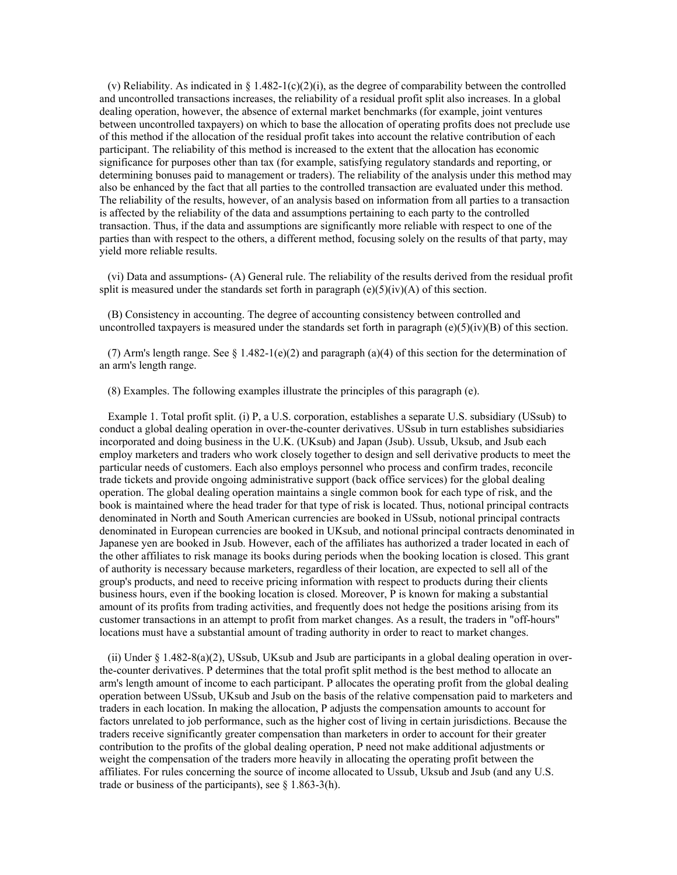(v) Reliability. As indicated in § 1.482-1(c)(2)(i), as the degree of comparability between the controlled and uncontrolled transactions increases, the reliability of a residual profit split also increases. In a global dealing operation, however, the absence of external market benchmarks (for example, joint ventures between uncontrolled taxpayers) on which to base the allocation of operating profits does not preclude use of this method if the allocation of the residual profit takes into account the relative contribution of each participant. The reliability of this method is increased to the extent that the allocation has economic significance for purposes other than tax (for example, satisfying regulatory standards and reporting, or determining bonuses paid to management or traders). The reliability of the analysis under this method may also be enhanced by the fact that all parties to the controlled transaction are evaluated under this method. The reliability of the results, however, of an analysis based on information from all parties to a transaction is affected by the reliability of the data and assumptions pertaining to each party to the controlled transaction. Thus, if the data and assumptions are significantly more reliable with respect to one of the parties than with respect to the others, a different method, focusing solely on the results of that party, may yield more reliable results.

 (vi) Data and assumptions- (A) General rule. The reliability of the results derived from the residual profit split is measured under the standards set forth in paragraph  $(e)(5)(iv)(A)$  of this section.

 (B) Consistency in accounting. The degree of accounting consistency between controlled and uncontrolled taxpayers is measured under the standards set forth in paragraph (e)(5)(iv)(B) of this section.

(7) Arm's length range. See § 1.482-1(e)(2) and paragraph (a)(4) of this section for the determination of an arm's length range.

(8) Examples. The following examples illustrate the principles of this paragraph (e).

 Example 1. Total profit split. (i) P, a U.S. corporation, establishes a separate U.S. subsidiary (USsub) to conduct a global dealing operation in over-the-counter derivatives. USsub in turn establishes subsidiaries incorporated and doing business in the U.K. (UKsub) and Japan (Jsub). Ussub, Uksub, and Jsub each employ marketers and traders who work closely together to design and sell derivative products to meet the particular needs of customers. Each also employs personnel who process and confirm trades, reconcile trade tickets and provide ongoing administrative support (back office services) for the global dealing operation. The global dealing operation maintains a single common book for each type of risk, and the book is maintained where the head trader for that type of risk is located. Thus, notional principal contracts denominated in North and South American currencies are booked in USsub, notional principal contracts denominated in European currencies are booked in UKsub, and notional principal contracts denominated in Japanese yen are booked in Jsub. However, each of the affiliates has authorized a trader located in each of the other affiliates to risk manage its books during periods when the booking location is closed. This grant of authority is necessary because marketers, regardless of their location, are expected to sell all of the group's products, and need to receive pricing information with respect to products during their clients business hours, even if the booking location is closed. Moreover, P is known for making a substantial amount of its profits from trading activities, and frequently does not hedge the positions arising from its customer transactions in an attempt to profit from market changes. As a result, the traders in "off-hours" locations must have a substantial amount of trading authority in order to react to market changes.

 (ii) Under § 1.482-8(a)(2), USsub, UKsub and Jsub are participants in a global dealing operation in overthe-counter derivatives. P determines that the total profit split method is the best method to allocate an arm's length amount of income to each participant. P allocates the operating profit from the global dealing operation between USsub, UKsub and Jsub on the basis of the relative compensation paid to marketers and traders in each location. In making the allocation, P adjusts the compensation amounts to account for factors unrelated to job performance, such as the higher cost of living in certain jurisdictions. Because the traders receive significantly greater compensation than marketers in order to account for their greater contribution to the profits of the global dealing operation, P need not make additional adjustments or weight the compensation of the traders more heavily in allocating the operating profit between the affiliates. For rules concerning the source of income allocated to Ussub, Uksub and Jsub (and any U.S. trade or business of the participants), see  $\S$  1.863-3(h).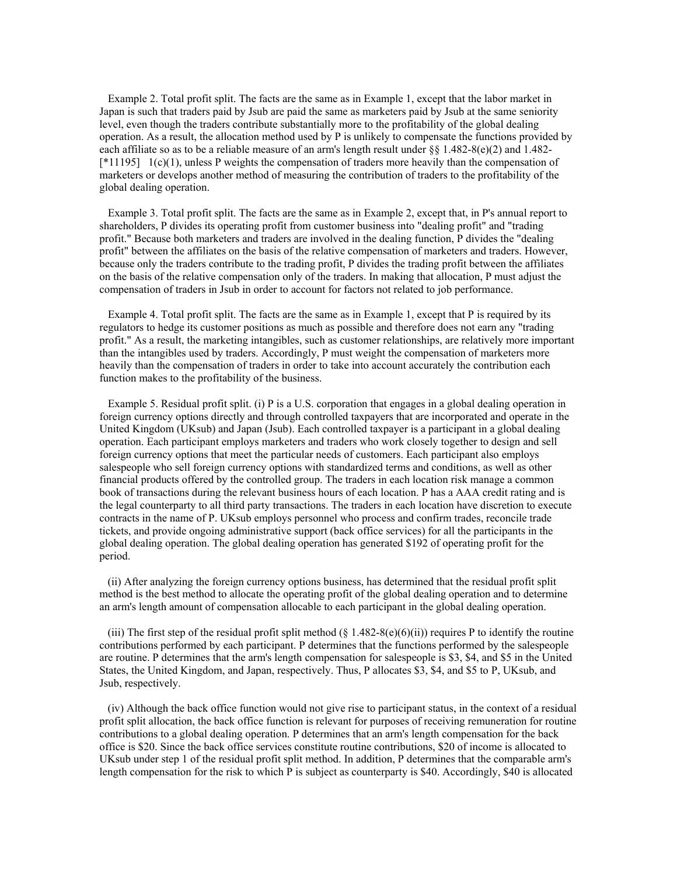Example 2. Total profit split. The facts are the same as in Example 1, except that the labor market in Japan is such that traders paid by Jsub are paid the same as marketers paid by Jsub at the same seniority level, even though the traders contribute substantially more to the profitability of the global dealing operation. As a result, the allocation method used by P is unlikely to compensate the functions provided by each affiliate so as to be a reliable measure of an arm's length result under  $\S$ § 1.482-8(e)(2) and 1.482-[\*11195] 1(c)(1), unless P weights the compensation of traders more heavily than the compensation of marketers or develops another method of measuring the contribution of traders to the profitability of the global dealing operation.

 Example 3. Total profit split. The facts are the same as in Example 2, except that, in P's annual report to shareholders, P divides its operating profit from customer business into "dealing profit" and "trading profit." Because both marketers and traders are involved in the dealing function, P divides the "dealing profit" between the affiliates on the basis of the relative compensation of marketers and traders. However, because only the traders contribute to the trading profit, P divides the trading profit between the affiliates on the basis of the relative compensation only of the traders. In making that allocation, P must adjust the compensation of traders in Jsub in order to account for factors not related to job performance.

 Example 4. Total profit split. The facts are the same as in Example 1, except that P is required by its regulators to hedge its customer positions as much as possible and therefore does not earn any "trading profit." As a result, the marketing intangibles, such as customer relationships, are relatively more important than the intangibles used by traders. Accordingly, P must weight the compensation of marketers more heavily than the compensation of traders in order to take into account accurately the contribution each function makes to the profitability of the business.

 Example 5. Residual profit split. (i) P is a U.S. corporation that engages in a global dealing operation in foreign currency options directly and through controlled taxpayers that are incorporated and operate in the United Kingdom (UKsub) and Japan (Jsub). Each controlled taxpayer is a participant in a global dealing operation. Each participant employs marketers and traders who work closely together to design and sell foreign currency options that meet the particular needs of customers. Each participant also employs salespeople who sell foreign currency options with standardized terms and conditions, as well as other financial products offered by the controlled group. The traders in each location risk manage a common book of transactions during the relevant business hours of each location. P has a AAA credit rating and is the legal counterparty to all third party transactions. The traders in each location have discretion to execute contracts in the name of P. UKsub employs personnel who process and confirm trades, reconcile trade tickets, and provide ongoing administrative support (back office services) for all the participants in the global dealing operation. The global dealing operation has generated \$192 of operating profit for the period.

 (ii) After analyzing the foreign currency options business, has determined that the residual profit split method is the best method to allocate the operating profit of the global dealing operation and to determine an arm's length amount of compensation allocable to each participant in the global dealing operation.

(iii) The first step of the residual profit split method  $(\S 1.482-8(e)(6)(ii))$  requires P to identify the routine contributions performed by each participant. P determines that the functions performed by the salespeople are routine. P determines that the arm's length compensation for salespeople is \$3, \$4, and \$5 in the United States, the United Kingdom, and Japan, respectively. Thus, P allocates \$3, \$4, and \$5 to P, UKsub, and Jsub, respectively.

 (iv) Although the back office function would not give rise to participant status, in the context of a residual profit split allocation, the back office function is relevant for purposes of receiving remuneration for routine contributions to a global dealing operation. P determines that an arm's length compensation for the back office is \$20. Since the back office services constitute routine contributions, \$20 of income is allocated to UKsub under step 1 of the residual profit split method. In addition, P determines that the comparable arm's length compensation for the risk to which  $\overline{P}$  is subject as counterparty is \$40. Accordingly, \$40 is allocated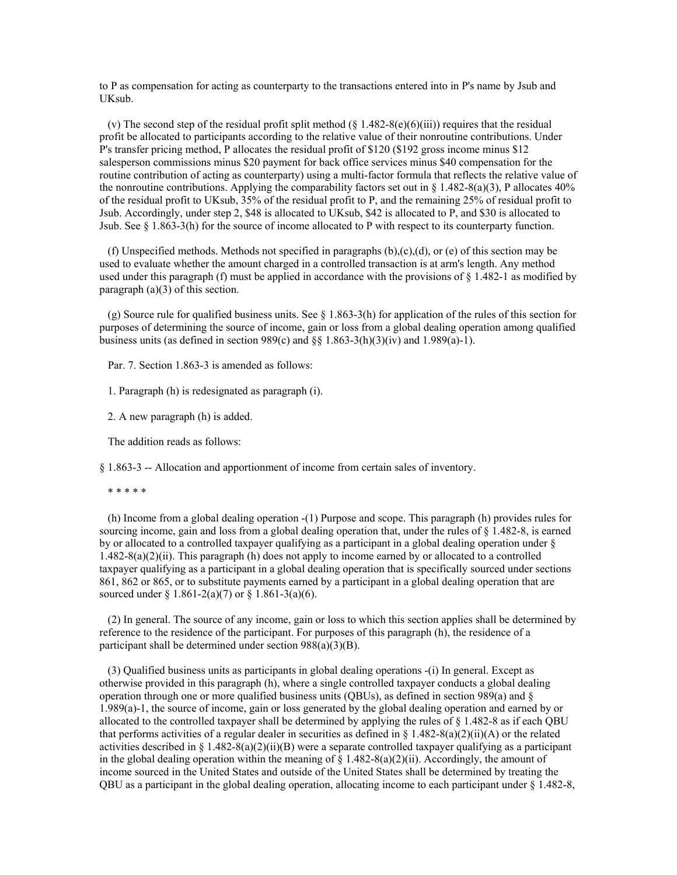to P as compensation for acting as counterparty to the transactions entered into in P's name by Jsub and UKsub.

(v) The second step of the residual profit split method  $(\xi \frac{1.482-8(e)(6)(iii)}{2}$  requires that the residual profit be allocated to participants according to the relative value of their nonroutine contributions. Under P's transfer pricing method, P allocates the residual profit of \$120 (\$192 gross income minus \$12 salesperson commissions minus \$20 payment for back office services minus \$40 compensation for the routine contribution of acting as counterparty) using a multi-factor formula that reflects the relative value of the nonroutine contributions. Applying the comparability factors set out in § 1.482-8(a)(3), P allocates 40% of the residual profit to UKsub, 35% of the residual profit to P, and the remaining 25% of residual profit to Jsub. Accordingly, under step 2, \$48 is allocated to UKsub, \$42 is allocated to P, and \$30 is allocated to Jsub. See § 1.863-3(h) for the source of income allocated to P with respect to its counterparty function.

(f) Unspecified methods. Methods not specified in paragraphs  $(b),(c),(d)$ , or (e) of this section may be used to evaluate whether the amount charged in a controlled transaction is at arm's length. Any method used under this paragraph (f) must be applied in accordance with the provisions of  $\S 1.482$ -1 as modified by paragraph (a)(3) of this section.

(g) Source rule for qualified business units. See  $\S$  1.863-3(h) for application of the rules of this section for purposes of determining the source of income, gain or loss from a global dealing operation among qualified business units (as defined in section 989(c) and  $\S$  1.863-3(h)(3)(iv) and 1.989(a)-1).

Par. 7. Section 1.863-3 is amended as follows:

1. Paragraph (h) is redesignated as paragraph (i).

2. A new paragraph (h) is added.

The addition reads as follows:

§ 1.863-3 -- Allocation and apportionment of income from certain sales of inventory.

\* \* \* \* \*

 (h) Income from a global dealing operation -(1) Purpose and scope. This paragraph (h) provides rules for sourcing income, gain and loss from a global dealing operation that, under the rules of § 1.482-8, is earned by or allocated to a controlled taxpayer qualifying as a participant in a global dealing operation under § 1.482-8(a)(2)(ii). This paragraph (h) does not apply to income earned by or allocated to a controlled taxpayer qualifying as a participant in a global dealing operation that is specifically sourced under sections 861, 862 or 865, or to substitute payments earned by a participant in a global dealing operation that are sourced under § 1.861-2(a)(7) or § 1.861-3(a)(6).

 (2) In general. The source of any income, gain or loss to which this section applies shall be determined by reference to the residence of the participant. For purposes of this paragraph (h), the residence of a participant shall be determined under section 988(a)(3)(B).

 (3) Qualified business units as participants in global dealing operations -(i) In general. Except as otherwise provided in this paragraph (h), where a single controlled taxpayer conducts a global dealing operation through one or more qualified business units (QBUs), as defined in section 989(a) and  $\S$ 1.989(a)-1, the source of income, gain or loss generated by the global dealing operation and earned by or allocated to the controlled taxpayer shall be determined by applying the rules of § 1.482-8 as if each QBU that performs activities of a regular dealer in securities as defined in § 1.482-8(a)(2)(ii)(A) or the related activities described in § 1.482-8(a)(2)(ii)(B) were a separate controlled taxpayer qualifying as a participant in the global dealing operation within the meaning of  $\S$  1.482-8(a)(2)(ii). Accordingly, the amount of income sourced in the United States and outside of the United States shall be determined by treating the QBU as a participant in the global dealing operation, allocating income to each participant under § 1.482-8,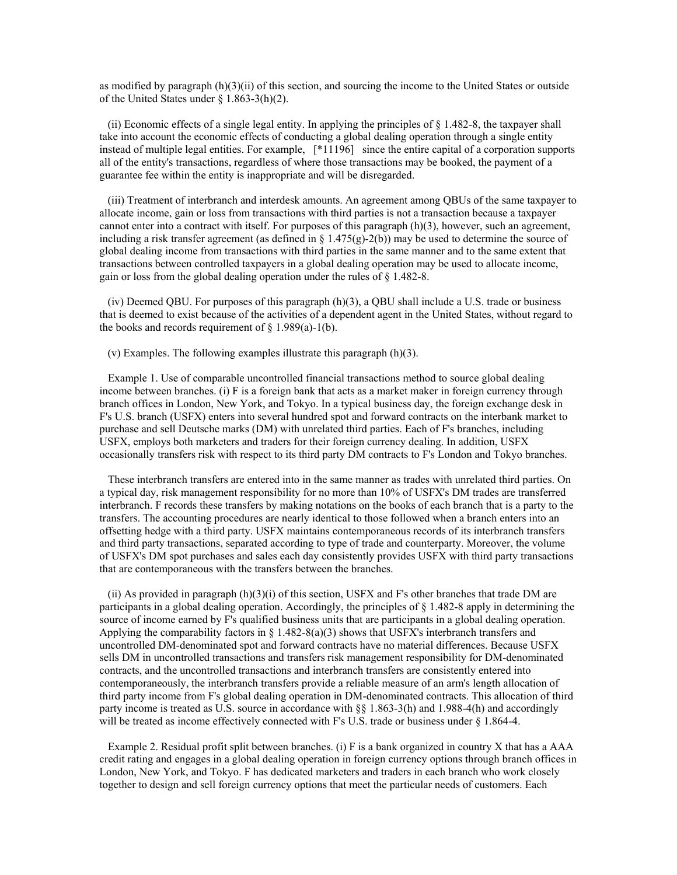as modified by paragraph (h)(3)(ii) of this section, and sourcing the income to the United States or outside of the United States under § 1.863-3(h)(2).

(ii) Economic effects of a single legal entity. In applying the principles of  $\S$  1.482-8, the taxpayer shall take into account the economic effects of conducting a global dealing operation through a single entity instead of multiple legal entities. For example, [\*11196] since the entire capital of a corporation supports all of the entity's transactions, regardless of where those transactions may be booked, the payment of a guarantee fee within the entity is inappropriate and will be disregarded.

 (iii) Treatment of interbranch and interdesk amounts. An agreement among QBUs of the same taxpayer to allocate income, gain or loss from transactions with third parties is not a transaction because a taxpayer cannot enter into a contract with itself. For purposes of this paragraph (h)(3), however, such an agreement, including a risk transfer agreement (as defined in  $\S 1.475(g)$ -2(b)) may be used to determine the source of global dealing income from transactions with third parties in the same manner and to the same extent that transactions between controlled taxpayers in a global dealing operation may be used to allocate income, gain or loss from the global dealing operation under the rules of § 1.482-8.

 (iv) Deemed QBU. For purposes of this paragraph (h)(3), a QBU shall include a U.S. trade or business that is deemed to exist because of the activities of a dependent agent in the United States, without regard to the books and records requirement of  $\S$  1.989(a)-1(b).

(v) Examples. The following examples illustrate this paragraph (h)(3).

 Example 1. Use of comparable uncontrolled financial transactions method to source global dealing income between branches. (i) F is a foreign bank that acts as a market maker in foreign currency through branch offices in London, New York, and Tokyo. In a typical business day, the foreign exchange desk in F's U.S. branch (USFX) enters into several hundred spot and forward contracts on the interbank market to purchase and sell Deutsche marks (DM) with unrelated third parties. Each of F's branches, including USFX, employs both marketers and traders for their foreign currency dealing. In addition, USFX occasionally transfers risk with respect to its third party DM contracts to F's London and Tokyo branches.

 These interbranch transfers are entered into in the same manner as trades with unrelated third parties. On a typical day, risk management responsibility for no more than 10% of USFX's DM trades are transferred interbranch. F records these transfers by making notations on the books of each branch that is a party to the transfers. The accounting procedures are nearly identical to those followed when a branch enters into an offsetting hedge with a third party. USFX maintains contemporaneous records of its interbranch transfers and third party transactions, separated according to type of trade and counterparty. Moreover, the volume of USFX's DM spot purchases and sales each day consistently provides USFX with third party transactions that are contemporaneous with the transfers between the branches.

(ii) As provided in paragraph  $(h)(3)(i)$  of this section, USFX and F's other branches that trade DM are participants in a global dealing operation. Accordingly, the principles of § 1.482-8 apply in determining the source of income earned by F's qualified business units that are participants in a global dealing operation. Applying the comparability factors in  $\S 1.482-8(a)(3)$  shows that USFX's interbranch transfers and uncontrolled DM-denominated spot and forward contracts have no material differences. Because USFX sells DM in uncontrolled transactions and transfers risk management responsibility for DM-denominated contracts, and the uncontrolled transactions and interbranch transfers are consistently entered into contemporaneously, the interbranch transfers provide a reliable measure of an arm's length allocation of third party income from F's global dealing operation in DM-denominated contracts. This allocation of third party income is treated as U.S. source in accordance with §§ 1.863-3(h) and 1.988-4(h) and accordingly will be treated as income effectively connected with F's U.S. trade or business under § 1.864-4.

 Example 2. Residual profit split between branches. (i) F is a bank organized in country X that has a AAA credit rating and engages in a global dealing operation in foreign currency options through branch offices in London, New York, and Tokyo. F has dedicated marketers and traders in each branch who work closely together to design and sell foreign currency options that meet the particular needs of customers. Each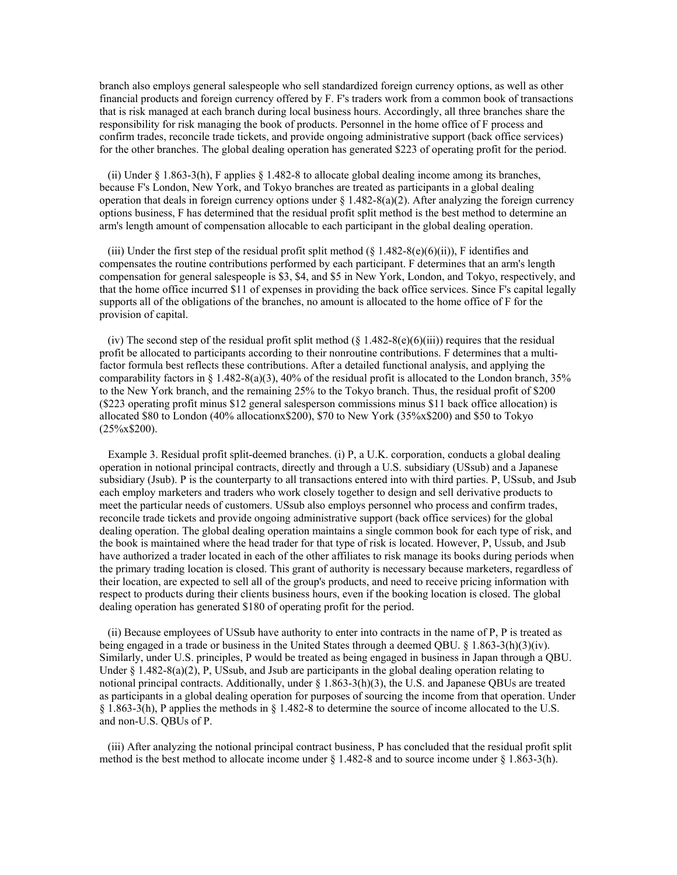branch also employs general salespeople who sell standardized foreign currency options, as well as other financial products and foreign currency offered by F. F's traders work from a common book of transactions that is risk managed at each branch during local business hours. Accordingly, all three branches share the responsibility for risk managing the book of products. Personnel in the home office of F process and confirm trades, reconcile trade tickets, and provide ongoing administrative support (back office services) for the other branches. The global dealing operation has generated \$223 of operating profit for the period.

 (ii) Under § 1.863-3(h), F applies § 1.482-8 to allocate global dealing income among its branches, because F's London, New York, and Tokyo branches are treated as participants in a global dealing operation that deals in foreign currency options under  $\S 1.482-8(a)(2)$ . After analyzing the foreign currency options business, F has determined that the residual profit split method is the best method to determine an arm's length amount of compensation allocable to each participant in the global dealing operation.

(iii) Under the first step of the residual profit split method  $(\S 1.482-8(e)(6)(ii))$ , F identifies and compensates the routine contributions performed by each participant. F determines that an arm's length compensation for general salespeople is \$3, \$4, and \$5 in New York, London, and Tokyo, respectively, and that the home office incurred \$11 of expenses in providing the back office services. Since F's capital legally supports all of the obligations of the branches, no amount is allocated to the home office of F for the provision of capital.

(iv) The second step of the residual profit split method  $(\S 1.482-8(e)(6)(iii))$  requires that the residual profit be allocated to participants according to their nonroutine contributions. F determines that a multifactor formula best reflects these contributions. After a detailed functional analysis, and applying the comparability factors in § 1.482-8(a)(3), 40% of the residual profit is allocated to the London branch, 35% to the New York branch, and the remaining 25% to the Tokyo branch. Thus, the residual profit of \$200 (\$223 operating profit minus \$12 general salesperson commissions minus \$11 back office allocation) is allocated \$80 to London (40% allocationx\$200), \$70 to New York (35%x\$200) and \$50 to Tokyo  $(25\% \times $200)$ .

 Example 3. Residual profit split-deemed branches. (i) P, a U.K. corporation, conducts a global dealing operation in notional principal contracts, directly and through a U.S. subsidiary (USsub) and a Japanese subsidiary (Jsub). P is the counterparty to all transactions entered into with third parties. P, USsub, and Jsub each employ marketers and traders who work closely together to design and sell derivative products to meet the particular needs of customers. USsub also employs personnel who process and confirm trades, reconcile trade tickets and provide ongoing administrative support (back office services) for the global dealing operation. The global dealing operation maintains a single common book for each type of risk, and the book is maintained where the head trader for that type of risk is located. However, P, Ussub, and Jsub have authorized a trader located in each of the other affiliates to risk manage its books during periods when the primary trading location is closed. This grant of authority is necessary because marketers, regardless of their location, are expected to sell all of the group's products, and need to receive pricing information with respect to products during their clients business hours, even if the booking location is closed. The global dealing operation has generated \$180 of operating profit for the period.

 (ii) Because employees of USsub have authority to enter into contracts in the name of P, P is treated as being engaged in a trade or business in the United States through a deemed QBU. § 1.863-3(h)(3)(iv). Similarly, under U.S. principles, P would be treated as being engaged in business in Japan through a QBU. Under  $\S 1.482-8(a)(2)$ , P, USsub, and Jsub are participants in the global dealing operation relating to notional principal contracts. Additionally, under § 1.863-3(h)(3), the U.S. and Japanese QBUs are treated as participants in a global dealing operation for purposes of sourcing the income from that operation. Under § 1.863-3(h), P applies the methods in § 1.482-8 to determine the source of income allocated to the U.S. and non-U.S. QBUs of P.

 (iii) After analyzing the notional principal contract business, P has concluded that the residual profit split method is the best method to allocate income under § 1.482-8 and to source income under § 1.863-3(h).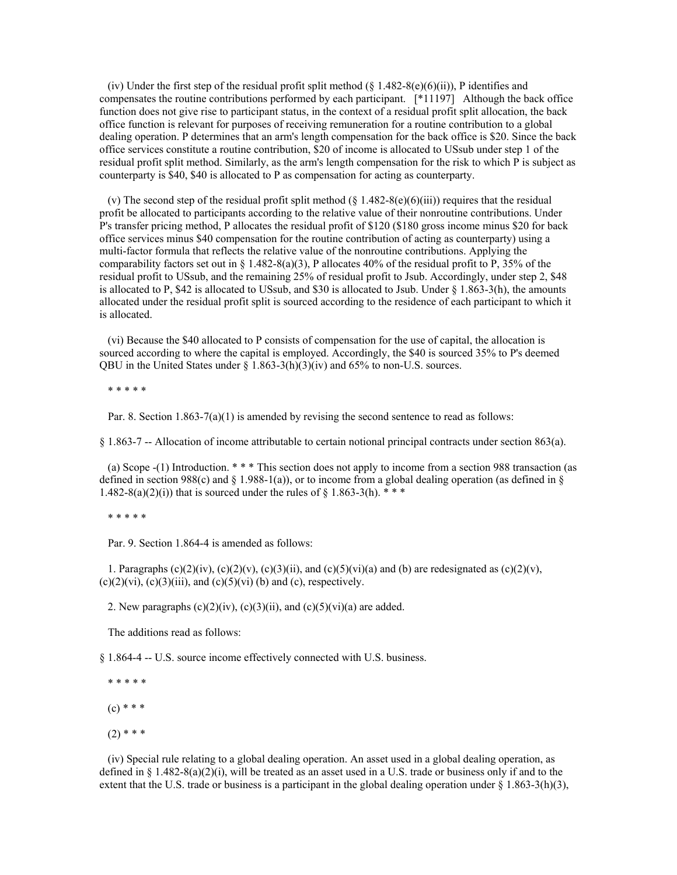(iv) Under the first step of the residual profit split method  $(\S 1.482-8(e)(6)(ii))$ , P identifies and compensates the routine contributions performed by each participant. [\*11197] Although the back office function does not give rise to participant status, in the context of a residual profit split allocation, the back office function is relevant for purposes of receiving remuneration for a routine contribution to a global dealing operation. P determines that an arm's length compensation for the back office is \$20. Since the back office services constitute a routine contribution, \$20 of income is allocated to USsub under step 1 of the residual profit split method. Similarly, as the arm's length compensation for the risk to which P is subject as counterparty is \$40, \$40 is allocated to P as compensation for acting as counterparty.

(v) The second step of the residual profit split method  $(\S 1.482-8(e)(6(iii))$  requires that the residual profit be allocated to participants according to the relative value of their nonroutine contributions. Under P's transfer pricing method, P allocates the residual profit of \$120 (\$180 gross income minus \$20 for back office services minus \$40 compensation for the routine contribution of acting as counterparty) using a multi-factor formula that reflects the relative value of the nonroutine contributions. Applying the comparability factors set out in § 1.482-8(a)(3), P allocates 40% of the residual profit to P, 35% of the residual profit to USsub, and the remaining 25% of residual profit to Jsub. Accordingly, under step 2, \$48 is allocated to P, \$42 is allocated to USsub, and \$30 is allocated to Jsub. Under  $\S$  1.863-3(h), the amounts allocated under the residual profit split is sourced according to the residence of each participant to which it is allocated.

 (vi) Because the \$40 allocated to P consists of compensation for the use of capital, the allocation is sourced according to where the capital is employed. Accordingly, the \$40 is sourced 35% to P's deemed QBU in the United States under  $\S$  1.863-3(h)(3)(iv) and 65% to non-U.S. sources.

\* \* \* \* \*

Par. 8. Section  $1.863-7(a)(1)$  is amended by revising the second sentence to read as follows:

§ 1.863-7 -- Allocation of income attributable to certain notional principal contracts under section 863(a).

 (a) Scope -(1) Introduction. \* \* \* This section does not apply to income from a section 988 transaction (as defined in section 988(c) and § 1.988-1(a)), or to income from a global dealing operation (as defined in § 1.482-8(a)(2)(i)) that is sourced under the rules of § 1.863-3(h).  $***$ 

\* \* \* \* \*

Par. 9. Section 1.864-4 is amended as follows:

1. Paragraphs (c)(2)(iv), (c)(2)(v), (c)(3)(ii), and (c)(5)(vi)(a) and (b) are redesignated as (c)(2)(v),  $(c)(2)(vi)$ ,  $(c)(3)(iii)$ , and  $(c)(5)(vi)$  (b) and (c), respectively.

2. New paragraphs  $(c)(2)(iv)$ ,  $(c)(3)(ii)$ , and  $(c)(5)(vi)(a)$  are added.

The additions read as follows:

§ 1.864-4 -- U.S. source income effectively connected with U.S. business.

\* \* \* \* \*

 $(c) * * *$ 

 $(2)$  \* \* \*

 (iv) Special rule relating to a global dealing operation. An asset used in a global dealing operation, as defined in §  $1.482-8(a)(2)(i)$ , will be treated as an asset used in a U.S. trade or business only if and to the extent that the U.S. trade or business is a participant in the global dealing operation under  $\S$  1.863-3(h)(3),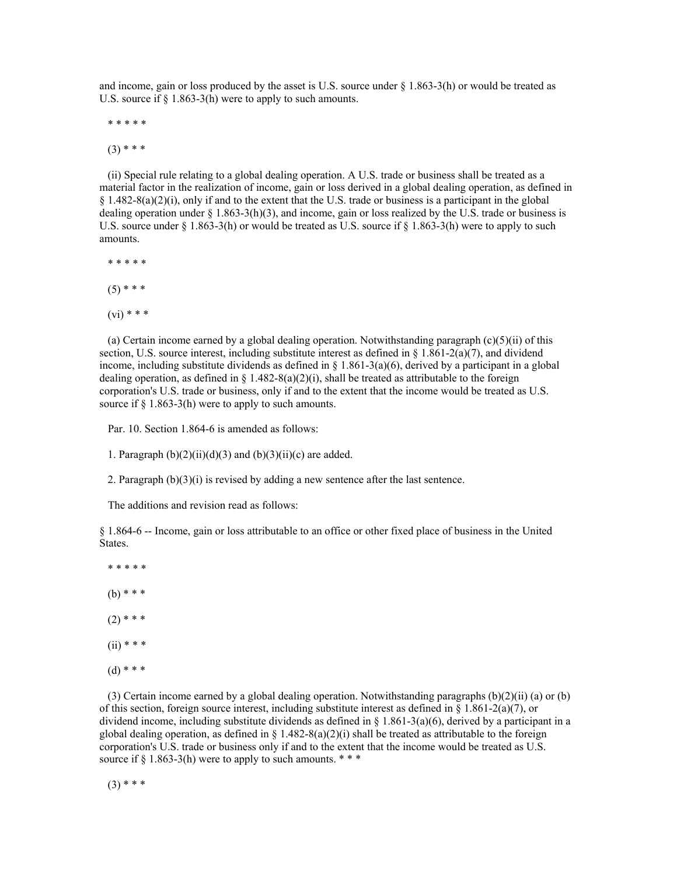and income, gain or loss produced by the asset is U.S. source under  $\S$  1.863-3(h) or would be treated as U.S. source if  $\S$  1.863-3(h) were to apply to such amounts.

\* \* \* \* \*

 $(3)$  \* \* \*

 (ii) Special rule relating to a global dealing operation. A U.S. trade or business shall be treated as a material factor in the realization of income, gain or loss derived in a global dealing operation, as defined in § 1.482-8(a)(2)(i), only if and to the extent that the U.S. trade or business is a participant in the global dealing operation under  $\S 1.863-3(h)(3)$ , and income, gain or loss realized by the U.S. trade or business is U.S. source under  $\S 1.863-3(h)$  or would be treated as U.S. source if  $\S 1.863-3(h)$  were to apply to such amounts.

 \* \* \* \* \*  $(5)$  \* \* \*  $(vi)$  \* \* \*

 (a) Certain income earned by a global dealing operation. Notwithstanding paragraph (c)(5)(ii) of this section, U.S. source interest, including substitute interest as defined in  $\S 1.861-2(a)(7)$ , and dividend income, including substitute dividends as defined in  $\S$  1.861-3(a)(6), derived by a participant in a global dealing operation, as defined in  $\S 1.482-8(a)(2)(i)$ , shall be treated as attributable to the foreign corporation's U.S. trade or business, only if and to the extent that the income would be treated as U.S. source if § 1.863-3(h) were to apply to such amounts.

Par. 10. Section 1.864-6 is amended as follows:

1. Paragraph  $(b)(2)(ii)(d)(3)$  and  $(b)(3)(ii)(c)$  are added.

2. Paragraph (b)(3)(i) is revised by adding a new sentence after the last sentence.

The additions and revision read as follows:

§ 1.864-6 -- Income, gain or loss attributable to an office or other fixed place of business in the United States.

 \* \* \* \* \*  $(b)$  \* \* \*  $(2)$  \* \* \*  $(ii)$  \* \* \*  $(d) * * *$ 

 (3) Certain income earned by a global dealing operation. Notwithstanding paragraphs (b)(2)(ii) (a) or (b) of this section, foreign source interest, including substitute interest as defined in  $\S$  1.861-2(a)(7), or dividend income, including substitute dividends as defined in  $\S 1.861-3(a)(6)$ , derived by a participant in a global dealing operation, as defined in  $\S 1.482-8(a)(2)(i)$  shall be treated as attributable to the foreign corporation's U.S. trade or business only if and to the extent that the income would be treated as U.S. source if  $\S$  1.863-3(h) were to apply to such amounts. \*\*\*

 $(3)$  \* \* \*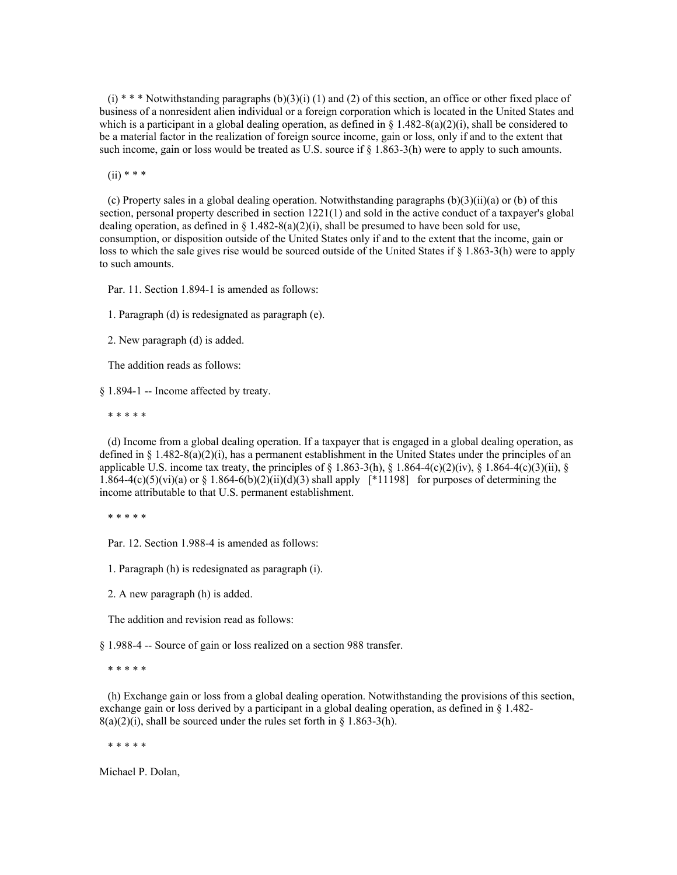$(i)$  \* \* \* Notwithstanding paragraphs  $(b)(3)(i)$  (1) and (2) of this section, an office or other fixed place of business of a nonresident alien individual or a foreign corporation which is located in the United States and which is a participant in a global dealing operation, as defined in  $\S 1.482-8(a)(2)(i)$ , shall be considered to be a material factor in the realization of foreign source income, gain or loss, only if and to the extent that such income, gain or loss would be treated as U.S. source if  $\S$  1.863-3(h) were to apply to such amounts.

 $(ii)$  \* \* \*

(c) Property sales in a global dealing operation. Notwithstanding paragraphs  $(b)(3)(ii)(a)$  or (b) of this section, personal property described in section 1221(1) and sold in the active conduct of a taxpayer's global dealing operation, as defined in  $\S 1.482 - 8(a)(2)(i)$ , shall be presumed to have been sold for use, consumption, or disposition outside of the United States only if and to the extent that the income, gain or loss to which the sale gives rise would be sourced outside of the United States if § 1.863-3(h) were to apply to such amounts.

Par. 11. Section 1.894-1 is amended as follows:

1. Paragraph (d) is redesignated as paragraph (e).

2. New paragraph (d) is added.

The addition reads as follows:

§ 1.894-1 -- Income affected by treaty.

\* \* \* \* \*

 (d) Income from a global dealing operation. If a taxpayer that is engaged in a global dealing operation, as defined in  $\S 1.482-8(a)(2)(i)$ , has a permanent establishment in the United States under the principles of an applicable U.S. income tax treaty, the principles of  $\S 1.863-3(h)$ ,  $\S 1.864-4(c)(2)(iv)$ ,  $\S 1.864-4(c)(3)(ii)$ ,  $\S 1.864-4(c)(3)(iii)$ 1.864-4(c)(5)(vi)(a) or § 1.864-6(b)(2)(ii)(d)(3) shall apply  $[*11198]$  for purposes of determining the income attributable to that U.S. permanent establishment.

\* \* \* \* \*

Par. 12. Section 1.988-4 is amended as follows:

1. Paragraph (h) is redesignated as paragraph (i).

2. A new paragraph (h) is added.

The addition and revision read as follows:

§ 1.988-4 -- Source of gain or loss realized on a section 988 transfer.

\* \* \* \* \*

 (h) Exchange gain or loss from a global dealing operation. Notwithstanding the provisions of this section, exchange gain or loss derived by a participant in a global dealing operation, as defined in § 1.482-  $8(a)(2)(i)$ , shall be sourced under the rules set forth in § 1.863-3(h).

\* \* \* \* \*

Michael P. Dolan,